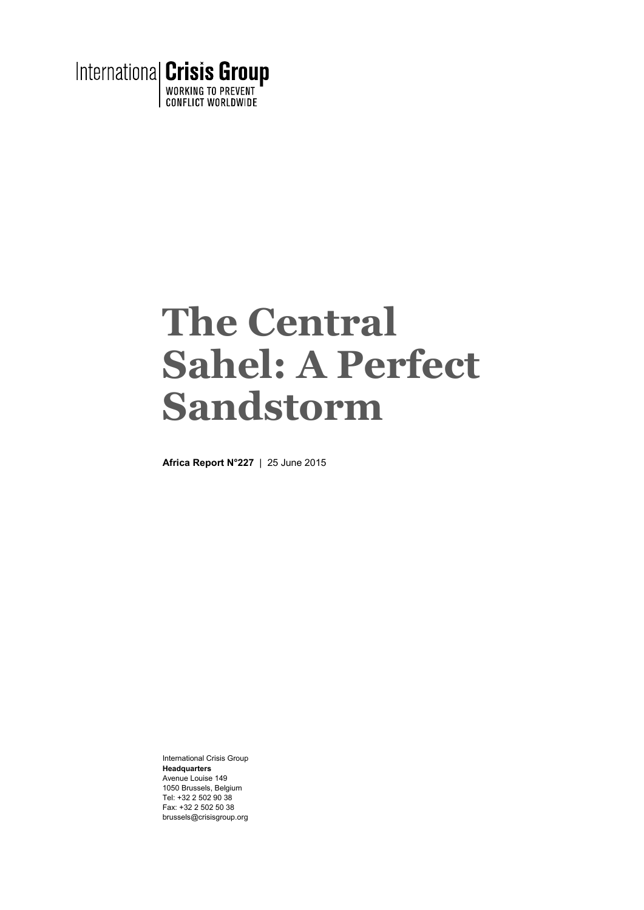

# **The Central Sahel: A Perfect Sandstorm**

**Africa Report N°227** | 25 June 2015

International Crisis Group **Headquarters**  Avenue Louise 149 1050 Brussels, Belgium Tel: +32 2 502 90 38 Fax: +32 2 502 50 38 brussels@crisisgroup.org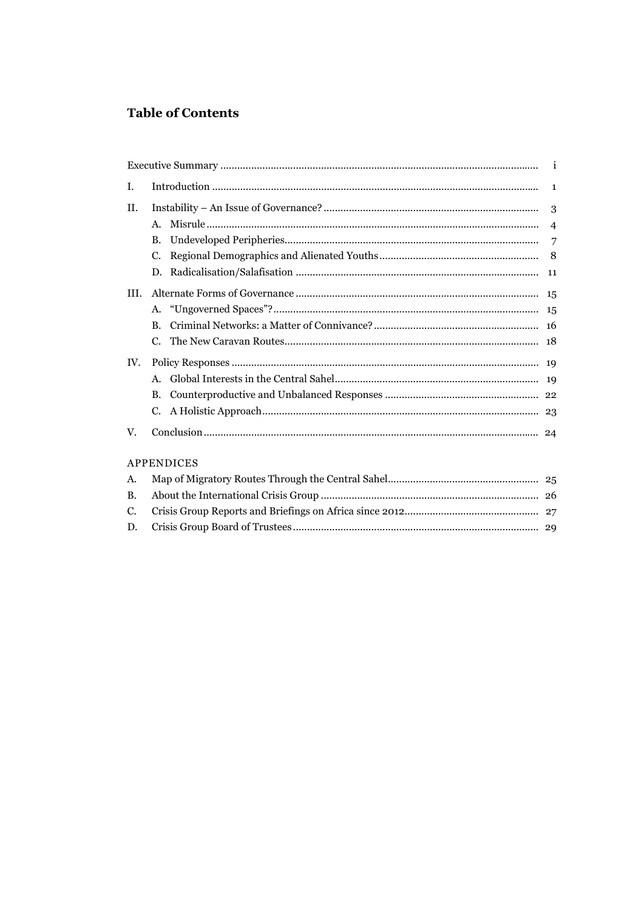# **Table of Contents**

| I.  |              |  |                |
|-----|--------------|--|----------------|
| H.  |              |  |                |
|     | $\mathbf{A}$ |  |                |
|     | B.           |  | $\overline{7}$ |
|     |              |  |                |
|     | D.           |  |                |
| HI. |              |  |                |
|     | A.           |  |                |
|     | B.           |  |                |
|     |              |  |                |
| IV. |              |  |                |
|     | $A_{-}$      |  |                |
|     | В.           |  |                |
|     |              |  |                |
| V.  |              |  |                |

# APPENDICES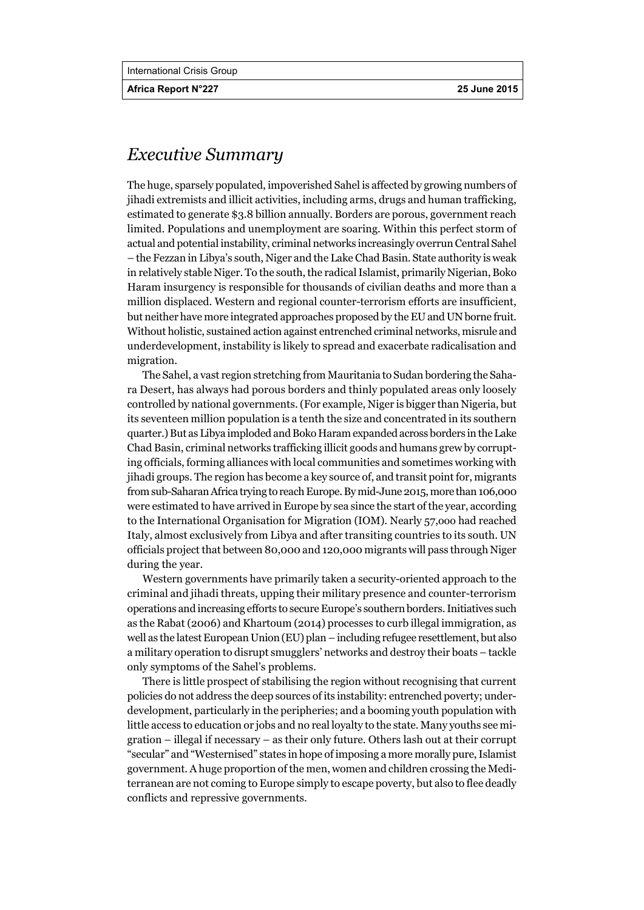**Africa Report N°227 25 June 2015** 

# *Executive Summary*

The huge, sparsely populated, impoverished Sahel is affected by growing numbers of jihadi extremists and illicit activities, including arms, drugs and human trafficking, estimated to generate \$3.8 billion annually. Borders are porous, government reach limited. Populations and unemployment are soaring. Within this perfect storm of actual and potential instability, criminal networks increasingly overrun Central Sahel – the Fezzan in Libya's south, Niger and the Lake Chad Basin. State authority is weak in relatively stable Niger. To the south, the radical Islamist, primarily Nigerian, Boko Haram insurgency is responsible for thousands of civilian deaths and more than a million displaced. Western and regional counter-terrorism efforts are insufficient, but neither have more integrated approaches proposed by the EU and UN borne fruit. Without holistic, sustained action against entrenched criminal networks, misrule and underdevelopment, instability is likely to spread and exacerbate radicalisation and migration.

The Sahel, a vast region stretching from Mauritania to Sudan bordering the Sahara Desert, has always had porous borders and thinly populated areas only loosely controlled by national governments. (For example, Niger is bigger than Nigeria, but its seventeen million population is a tenth the size and concentrated in its southern quarter.) But as Libya imploded and Boko Haram expanded across borders in the Lake Chad Basin, criminal networks trafficking illicit goods and humans grew by corrupting officials, forming alliances with local communities and sometimes working with jihadi groups. The region has become a key source of, and transit point for, migrants from sub-Saharan Africa trying to reach Europe. By mid-June 2015, more than 106,000 were estimated to have arrived in Europe by sea since the start of the year, according to the International Organisation for Migration (IOM). Nearly 57,ooo had reached Italy, almost exclusively from Libya and after transiting countries to its south. UN officials project that between 80,000 and 120,000 migrants will pass through Niger during the year.

Western governments have primarily taken a security-oriented approach to the criminal and jihadi threats, upping their military presence and counter-terrorism operations and increasing efforts to secure Europe's southern borders. Initiatives such as the Rabat (2006) and Khartoum (2014) processes to curb illegal immigration, as well as the latest European Union (EU) plan – including refugee resettlement, but also a military operation to disrupt smugglers' networks and destroy their boats – tackle only symptoms of the Sahel's problems.

There is little prospect of stabilising the region without recognising that current policies do not address the deep sources of its instability: entrenched poverty; underdevelopment, particularly in the peripheries; and a booming youth population with little access to education or jobs and no real loyalty to the state. Many youths see migration – illegal if necessary – as their only future. Others lash out at their corrupt "secular" and "Westernised" states in hope of imposing a more morally pure, Islamist government. A huge proportion of the men, women and children crossing the Mediterranean are not coming to Europe simply to escape poverty, but also to flee deadly conflicts and repressive governments.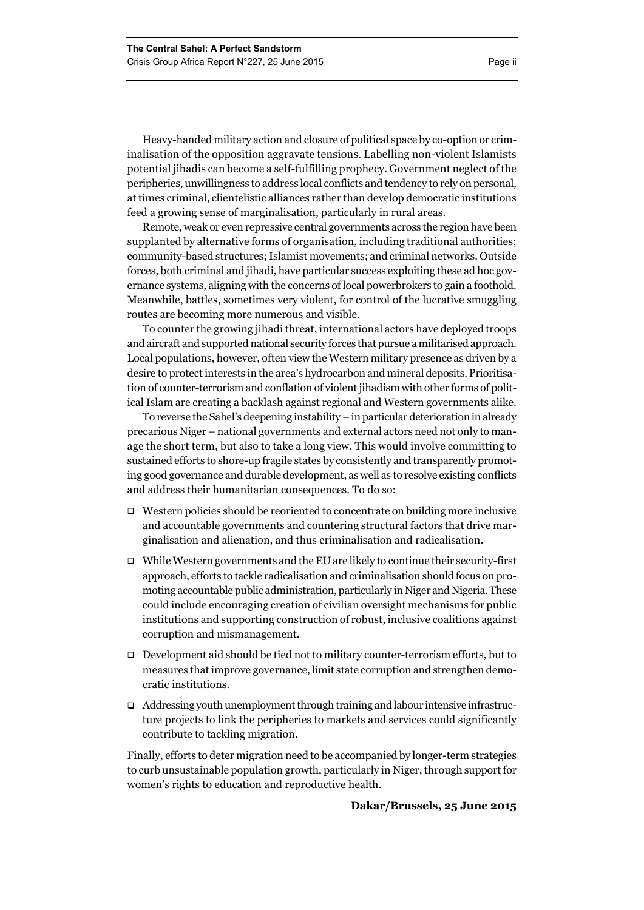Heavy-handed military action and closure of political space by co-option or criminalisation of the opposition aggravate tensions. Labelling non-violent Islamists potential jihadis can become a self-fulfilling prophecy. Government neglect of the peripheries, unwillingness to address local conflicts and tendency to rely on personal, at times criminal, clientelistic alliances rather than develop democratic institutions feed a growing sense of marginalisation, particularly in rural areas.

Remote, weak or even repressive central governments across the region have been supplanted by alternative forms of organisation, including traditional authorities; community-based structures; Islamist movements; and criminal networks. Outside forces, both criminal and jihadi, have particular success exploiting these ad hoc governance systems, aligning with the concerns of local powerbrokers to gain a foothold. Meanwhile, battles, sometimes very violent, for control of the lucrative smuggling routes are becoming more numerous and visible.

To counter the growing jihadi threat, international actors have deployed troops and aircraft and supported national security forces that pursue a militarised approach. Local populations, however, often view the Western military presence as driven by a desire to protect interests in the area's hydrocarbon and mineral deposits. Prioritisation of counter-terrorism and conflation of violent jihadism with other forms of political Islam are creating a backlash against regional and Western governments alike.

To reverse the Sahel's deepening instability – in particular deterioration in already precarious Niger – national governments and external actors need not only to manage the short term, but also to take a long view. This would involve committing to sustained efforts to shore-up fragile states by consistently and transparently promoting good governance and durable development, as well as to resolve existing conflicts and address their humanitarian consequences. To do so:

- Western policies should be reoriented to concentrate on building more inclusive and accountable governments and countering structural factors that drive marginalisation and alienation, and thus criminalisation and radicalisation.
- $\Box$  While Western governments and the EU are likely to continue their security-first approach, efforts to tackle radicalisation and criminalisation should focus on promoting accountable public administration, particularly in Niger and Nigeria. These could include encouraging creation of civilian oversight mechanisms for public institutions and supporting construction of robust, inclusive coalitions against corruption and mismanagement.
- $\Box$  Development aid should be tied not to military counter-terrorism efforts, but to measures that improve governance, limit state corruption and strengthen democratic institutions.
- Addressing youth unemployment through training and labour intensive infrastructure projects to link the peripheries to markets and services could significantly contribute to tackling migration.

Finally, efforts to deter migration need to be accompanied by longer-term strategies to curb unsustainable population growth, particularly in Niger, through support for women's rights to education and reproductive health.

## **Dakar/Brussels, 25 June 2015**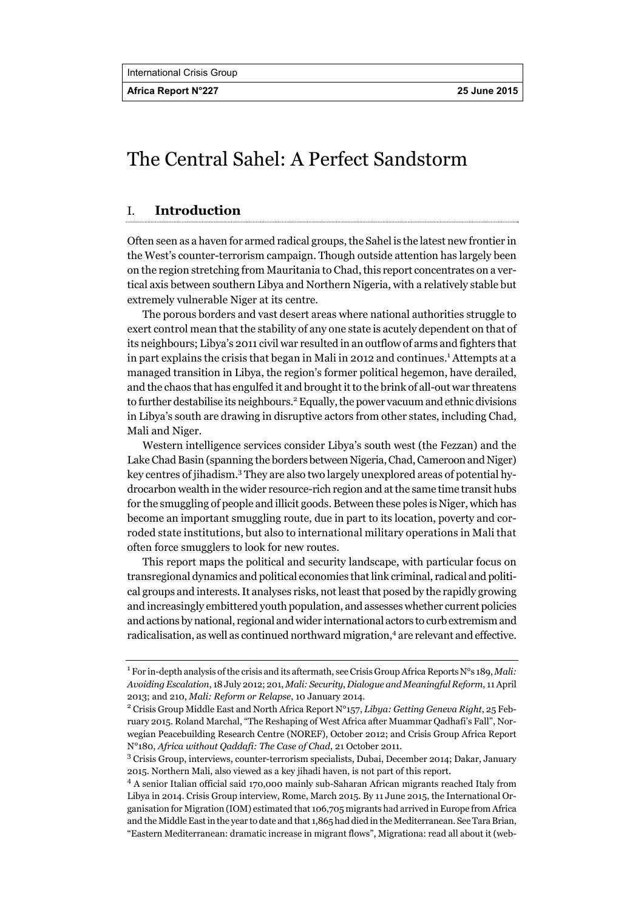**Africa Report N°227 25 June 2015** 

# The Central Sahel: A Perfect Sandstorm

# I. **Introduction**

Often seen as a haven for armed radical groups, the Sahel is the latest new frontier in the West's counter-terrorism campaign. Though outside attention has largely been on the region stretching from Mauritania to Chad, this report concentrates on a vertical axis between southern Libya and Northern Nigeria, with a relatively stable but extremely vulnerable Niger at its centre.

The porous borders and vast desert areas where national authorities struggle to exert control mean that the stability of any one state is acutely dependent on that of its neighbours; Libya's 2011 civil war resulted in an outflow of arms and fighters that in part explains the crisis that began in Mali in 2012 and continues.<sup>1</sup> Attempts at a managed transition in Libya, the region's former political hegemon, have derailed, and the chaos that has engulfed it and brought it to the brink of all-out war threatens to further destabilise its neighbours.<sup>2</sup> Equally, the power vacuum and ethnic divisions in Libya's south are drawing in disruptive actors from other states, including Chad, Mali and Niger.

Western intelligence services consider Libya's south west (the Fezzan) and the Lake Chad Basin (spanning the borders between Nigeria, Chad, Cameroon and Niger) key centres of jihadism.<sup>3</sup> They are also two largely unexplored areas of potential hydrocarbon wealth in the wider resource-rich region and at the same time transit hubs for the smuggling of people and illicit goods. Between these poles is Niger, which has become an important smuggling route, due in part to its location, poverty and corroded state institutions, but also to international military operations in Mali that often force smugglers to look for new routes.

This report maps the political and security landscape, with particular focus on transregional dynamics and political economies that link criminal, radical and political groups and interests. It analyses risks, not least that posed by the rapidly growing and increasingly embittered youth population, and assesses whether current policies and actions by national, regional and wider international actors to curb extremism and radicalisation, as well as continued northward migration,<sup>4</sup> are relevant and effective.

<sup>&</sup>lt;sup>1</sup> For in-depth analysis of the crisis and its aftermath, see Crisis Group Africa Reports N°s 189, *Mali*: *Avoiding Escalation*, 18 July 2012; 201, *Mali: Security*, *Dialogue and Meaningful Reform*, 11 April 2013; and 210, *Mali: Reform or Relapse*, 10 January 2014. 2

Crisis Group Middle East and North Africa Report N°157, *Libya: Getting Geneva Right*, 25 February 2015. Roland Marchal, "The Reshaping of West Africa after Muammar Qadhafi's Fall", Norwegian Peacebuilding Research Centre (NOREF), October 2012; and Crisis Group Africa Report N°180, *Africa without Qaddafi: The Case of Chad*, 21 October 2011.

<sup>&</sup>lt;sup>3</sup> Crisis Group, interviews, counter-terrorism specialists, Dubai, December 2014; Dakar, January 2015. Northern Mali, also viewed as a key jihadi haven, is not part of this report.

<sup>&</sup>lt;sup>4</sup> A senior Italian official said 170,000 mainly sub-Saharan African migrants reached Italy from Libya in 2014. Crisis Group interview, Rome, March 2015. By 11 June 2015, the International Organisation for Migration (IOM) estimated that 106,705 migrants had arrived in Europe from Africa and the Middle East in the year to date and that 1,865 had died in the Mediterranean. See Tara Brian, "Eastern Mediterranean: dramatic increase in migrant flows", Migrationa: read all about it (web-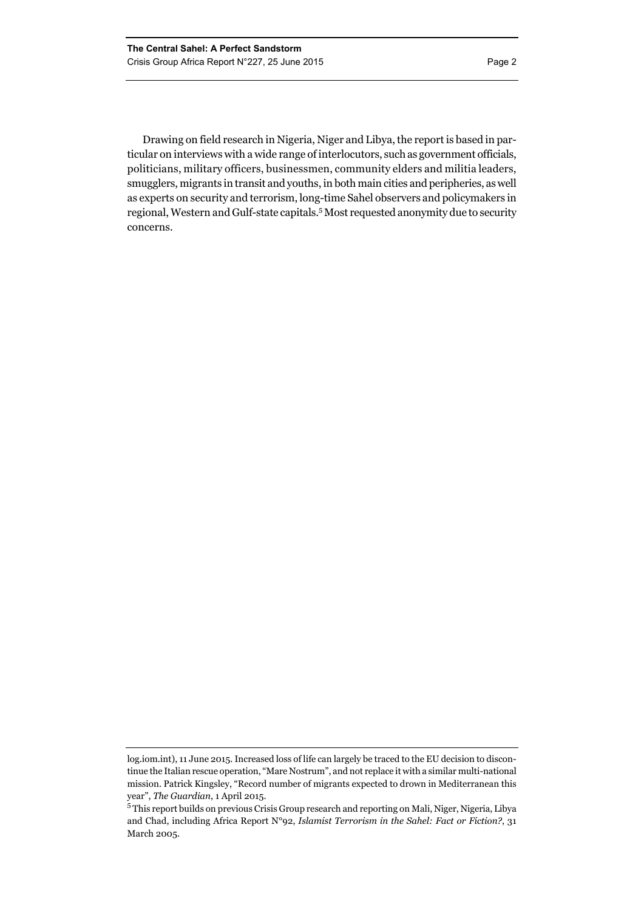Drawing on field research in Nigeria, Niger and Libya, the report is based in particular on interviews with a wide range of interlocutors, such as government officials, politicians, military officers, businessmen, community elders and militia leaders, smugglers, migrants in transit and youths, in both main cities and peripheries, as well as experts on security and terrorism, long-time Sahel observers and policymakers in regional, Western and Gulf-state capitals.<sup>5</sup> Most requested anonymity due to security concerns.

log.iom.int), 11 June 2015. Increased loss of life can largely be traced to the EU decision to discontinue the Italian rescue operation, "Mare Nostrum", and not replace it with a similar multi-national mission. Patrick Kingsley, "Record number of migrants expected to drown in Mediterranean this year", *The Guardian*, 1 April 2015.

<sup>&</sup>lt;sup>5</sup> This report builds on previous Crisis Group research and reporting on Mali, Niger, Nigeria, Libya and Chad, including Africa Report N°92, *Islamist Terrorism in the Sahel: Fact or Fiction?*, 31 March 2005.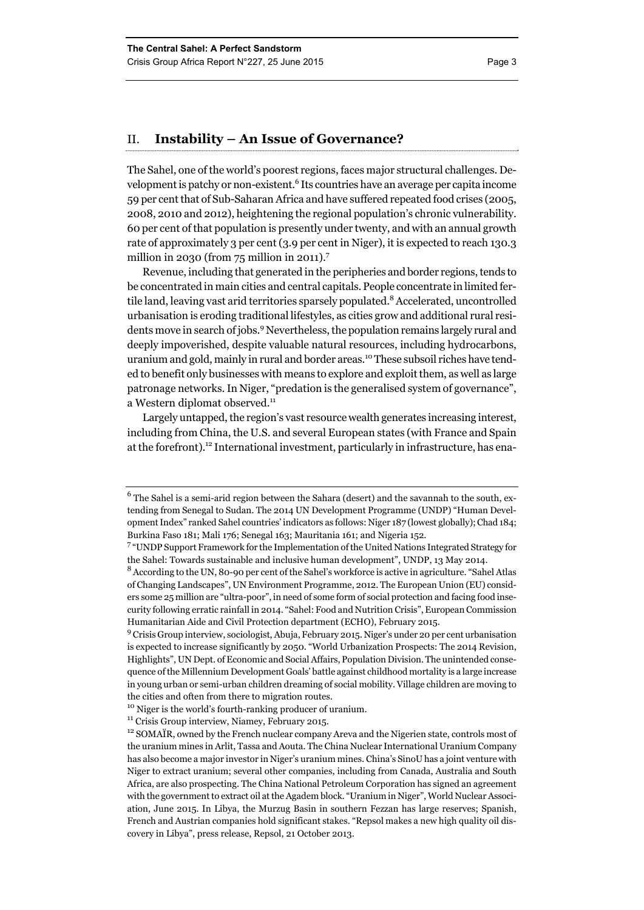# II. **Instability – An Issue of Governance?**

The Sahel, one of the world's poorest regions, faces major structural challenges. Development is patchy or non-existent.<sup>6</sup> Its countries have an average per capita income 59 per cent that of Sub-Saharan Africa and have suffered repeated food crises (2005, 2008, 2010 and 2012), heightening the regional population's chronic vulnerability. 60 per cent of that population is presently under twenty, and with an annual growth rate of approximately 3 per cent (3.9 per cent in Niger), it is expected to reach 130.3 million in 2030 (from  $75$  million in 2011).<sup>7</sup>

Revenue, including that generated in the peripheries and border regions, tends to be concentrated in main cities and central capitals. People concentrate in limited fertile land, leaving vast arid territories sparsely populated.<sup>8</sup> Accelerated, uncontrolled urbanisation is eroding traditional lifestyles, as cities grow and additional rural residents move in search of jobs.<sup>9</sup> Nevertheless, the population remains largely rural and deeply impoverished, despite valuable natural resources, including hydrocarbons, uranium and gold, mainly in rural and border areas.10 These subsoil riches have tended to benefit only businesses with means to explore and exploit them, as well as large patronage networks. In Niger, "predation is the generalised system of governance", a Western diplomat observed.<sup>11</sup>

Largely untapped, the region's vast resource wealth generates increasing interest, including from China, the U.S. and several European states (with France and Spain at the forefront).<sup>12</sup> International investment, particularly in infrastructure, has ena-

 $6$  The Sahel is a semi-arid region between the Sahara (desert) and the savannah to the south, extending from Senegal to Sudan. The 2014 UN Development Programme (UNDP) "Human Development Index" ranked Sahel countries' indicators as follows: Niger 187 (lowest globally); Chad 184; Burkina Faso 181; Mali 176; Senegal 163; Mauritania 161; and Nigeria 152.

<sup>&</sup>lt;sup>7</sup> "UNDP Support Framework for the Implementation of the United Nations Integrated Strategy for the Sahel: Towards sustainable and inclusive human development", UNDP, 13 May 2014.

 $^8$  According to the UN, 80-90 per cent of the Sahel's workforce is active in agriculture. "Sahel Atlas of Changing Landscapes", UN Environment Programme, 2012. The European Union (EU) considers some 25 million are "ultra-poor", in need of some form of social protection and facing food insecurity following erratic rainfall in 2014. "Sahel: Food and Nutrition Crisis", European Commission Humanitarian Aide and Civil Protection department (ECHO), February 2015.

<sup>&</sup>lt;sup>9</sup> Crisis Group interview, sociologist, Abuja, February 2015. Niger's under 20 per cent urbanisation is expected to increase significantly by 2050. "World Urbanization Prospects: The 2014 Revision, Highlights", UN Dept. of Economic and Social Affairs, Population Division*.* The unintended consequence of the Millennium Development Goals' battle against childhood mortality is a large increase in young urban or semi-urban children dreaming of social mobility. Village children are moving to the cities and often from there to migration routes.

<sup>10</sup> Niger is the world's fourth-ranking producer of uranium.

<sup>&</sup>lt;sup>11</sup> Crisis Group interview, Niamey, February 2015.

<sup>&</sup>lt;sup>12</sup> SOMAÏR, owned by the French nuclear company Areva and the Nigerien state, controls most of the uranium mines in Arlit, Tassa and Aouta. The China Nuclear International Uranium Company has also become a major investor in Niger's uranium mines. China's SinoU has a joint venture with Niger to extract uranium; several other companies, including from Canada, Australia and South Africa, are also prospecting. The China National Petroleum Corporation has signed an agreement with the government to extract oil at the Agadem block. "Uranium in Niger", World Nuclear Association, June 2015. In Libya, the Murzug Basin in southern Fezzan has large reserves; Spanish, French and Austrian companies hold significant stakes. "Repsol makes a new high quality oil discovery in Libya", press release, Repsol, 21 October 2013.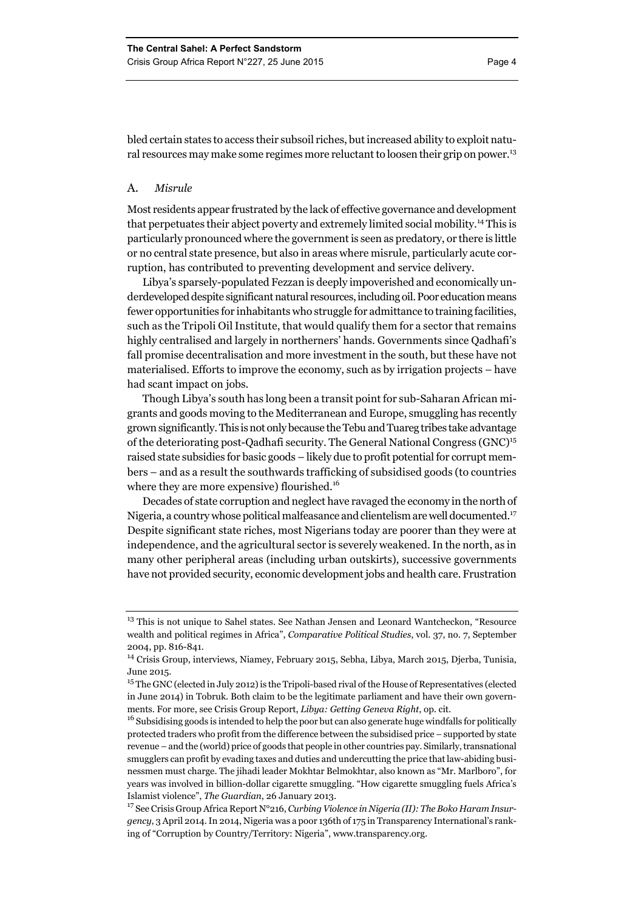bled certain states to access their subsoil riches, but increased ability to exploit natural resources may make some regimes more reluctant to loosen their grip on power.<sup>13</sup>

# A. *Misrule*

Most residents appear frustrated by the lack of effective governance and development that perpetuates their abject poverty and extremely limited social mobility.14 This is particularly pronounced where the government is seen as predatory, or there is little or no central state presence, but also in areas where misrule, particularly acute corruption, has contributed to preventing development and service delivery.

Libya's sparsely-populated Fezzan is deeply impoverished and economically underdeveloped despite significant natural resources, including oil. Poor education means fewer opportunities for inhabitants who struggle for admittance to training facilities, such as the Tripoli Oil Institute, that would qualify them for a sector that remains highly centralised and largely in northerners' hands. Governments since Qadhafi's fall promise decentralisation and more investment in the south, but these have not materialised. Efforts to improve the economy, such as by irrigation projects – have had scant impact on jobs.

Though Libya's south has long been a transit point for sub-Saharan African migrants and goods moving to the Mediterranean and Europe, smuggling has recently grown significantly. This is not only because the Tebu and Tuareg tribes take advantage of the deteriorating post-Qadhafi security. The General National Congress (GNC)<sup>15</sup> raised state subsidies for basic goods – likely due to profit potential for corrupt members – and as a result the southwards trafficking of subsidised goods (to countries where they are more expensive) flourished.<sup>16</sup>

Decades of state corruption and neglect have ravaged the economy in the north of Nigeria, a country whose political malfeasance and clientelism are well documented.17 Despite significant state riches, most Nigerians today are poorer than they were at independence, and the agricultural sector is severely weakened. In the north, as in many other peripheral areas (including urban outskirts), successive governments have not provided security, economic development jobs and health care. Frustration

<sup>&</sup>lt;sup>13</sup> This is not unique to Sahel states. See Nathan Jensen and Leonard Wantcheckon, "Resource wealth and political regimes in Africa", *Comparative Political Studies*, vol. 37, no. 7, September 2004, pp. 816-841.

<sup>14</sup> Crisis Group, interviews, Niamey, February 2015, Sebha, Libya, March 2015, Djerba, Tunisia, June 2015.

<sup>&</sup>lt;sup>15</sup> The GNC (elected in July 2012) is the Tripoli-based rival of the House of Representatives (elected in June 2014) in Tobruk. Both claim to be the legitimate parliament and have their own governments. For more, see Crisis Group Report, *Libya: Getting Geneva Right*, op. cit.

<sup>&</sup>lt;sup>16</sup> Subsidising goods is intended to help the poor but can also generate huge windfalls for politically protected traders who profit from the difference between the subsidised price – supported by state revenue – and the (world) price of goods that people in other countries pay. Similarly, transnational smugglers can profit by evading taxes and duties and undercutting the price that law-abiding businessmen must charge. The jihadi leader Mokhtar Belmokhtar, also known as "Mr. Marlboro", for years was involved in billion-dollar cigarette smuggling. "How cigarette smuggling fuels Africa's Islamist violence", *The Guardian*, 26 January 2013.

<sup>17</sup> See Crisis Group Africa Report N°216, *Curbing Violence in Nigeria (II): The Boko Haram Insurgency*, 3 April 2014. In 2014, Nigeria was a poor 136th of 175 in Transparency International's ranking of "Corruption by Country/Territory: Nigeria", www.transparency.org.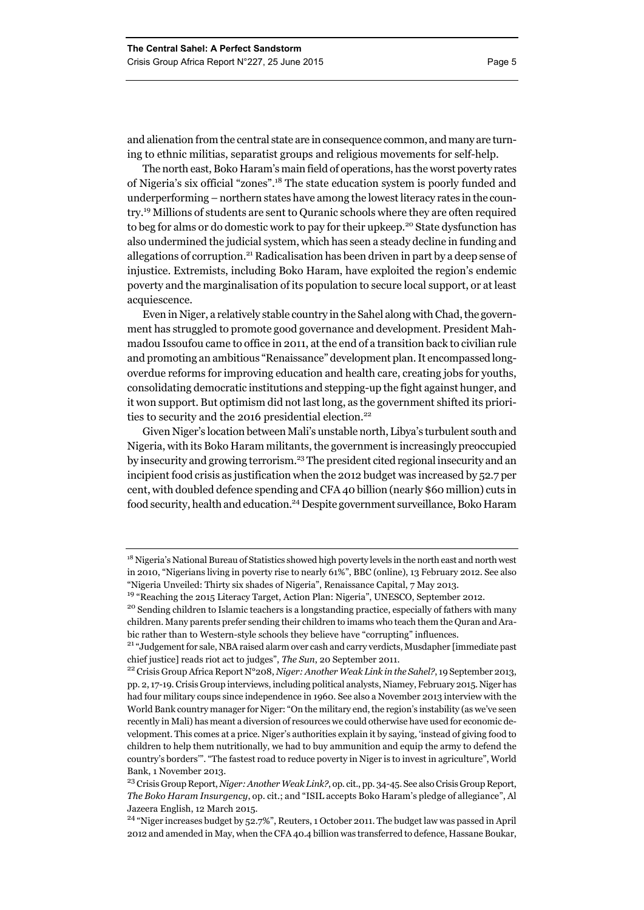and alienation from the central state are in consequence common, and many are turning to ethnic militias, separatist groups and religious movements for self-help.

The north east, Boko Haram's main field of operations, has the worst poverty rates of Nigeria's six official "zones".18 The state education system is poorly funded and underperforming – northern states have among the lowest literacy rates in the country.19 Millions of students are sent to Quranic schools where they are often required to beg for alms or do domestic work to pay for their upkeep.<sup>20</sup> State dysfunction has also undermined the judicial system, which has seen a steady decline in funding and allegations of corruption.21 Radicalisation has been driven in part by a deep sense of injustice. Extremists, including Boko Haram, have exploited the region's endemic poverty and the marginalisation of its population to secure local support, or at least acquiescence.

Even in Niger, a relatively stable country in the Sahel along with Chad, the government has struggled to promote good governance and development. President Mahmadou Issoufou came to office in 2011, at the end of a transition back to civilian rule and promoting an ambitious "Renaissance" development plan. It encompassed longoverdue reforms for improving education and health care, creating jobs for youths, consolidating democratic institutions and stepping-up the fight against hunger, and it won support. But optimism did not last long, as the government shifted its priorities to security and the 2016 presidential election.<sup>22</sup>

Given Niger's location between Mali's unstable north, Libya's turbulent south and Nigeria, with its Boko Haram militants, the government is increasingly preoccupied by insecurity and growing terrorism.23 The president cited regional insecurity and an incipient food crisis as justification when the 2012 budget was increased by 52.7 per cent, with doubled defence spending and CFA 40 billion (nearly \$60 million) cuts in food security, health and education.<sup>24</sup> Despite government surveillance, Boko Haram

<sup>&</sup>lt;sup>18</sup> Nigeria's National Bureau of Statistics showed high poverty levels in the north east and north west in 2010, "Nigerians living in poverty rise to nearly 61%", BBC (online), 13 February 2012. See also "Nigeria Unveiled: Thirty six shades of Nigeria", Renaissance Capital, 7 May 2013.

<sup>&</sup>lt;sup>19</sup> "Reaching the 2015 Literacy Target, Action Plan: Nigeria", UNESCO, September 2012.<br><sup>20</sup> Sending children to Islamic teachers is a longstanding practice, especially of fathers with many

children. Many parents prefer sending their children to imams who teach them the Quran and Arabic rather than to Western-style schools they believe have "corrupting" influences.

<sup>&</sup>lt;sup>21</sup> "Judgement for sale, NBA raised alarm over cash and carry verdicts, Musdapher [immediate past chief justice] reads riot act to judges", *The Sun*, 20 September 2011. 22 Crisis Group Africa Report N°208, *Niger: Another Weak Link in the Sahel?*, 19 September 2013,

pp. 2, 17-19. Crisis Group interviews, including political analysts, Niamey, February 2015. Niger has had four military coups since independence in 1960. See also a November 2013 interview with the World Bank country manager for Niger: "On the military end, the region's instability (as we've seen recently in Mali) has meant a diversion of resources we could otherwise have used for economic development. This comes at a price. Niger's authorities explain it by saying, 'instead of giving food to children to help them nutritionally, we had to buy ammunition and equip the army to defend the country's borders'". "The fastest road to reduce poverty in Niger is to invest in agriculture", World Bank, 1 November 2013.

<sup>23</sup> Crisis Group Report, *Niger: Another Weak Link?*, op. cit., pp. 34-45. See also Crisis Group Report, *The Boko Haram Insurgency*, op. cit.; and "ISIL accepts Boko Haram's pledge of allegiance", Al Jazeera English, 12 March 2015.

<sup>&</sup>lt;sup>24</sup> "Niger increases budget by 52.7%", Reuters, 1 October 2011. The budget law was passed in April 2012 and amended in May, when the CFA 40.4 billion was transferred to defence, Hassane Boukar,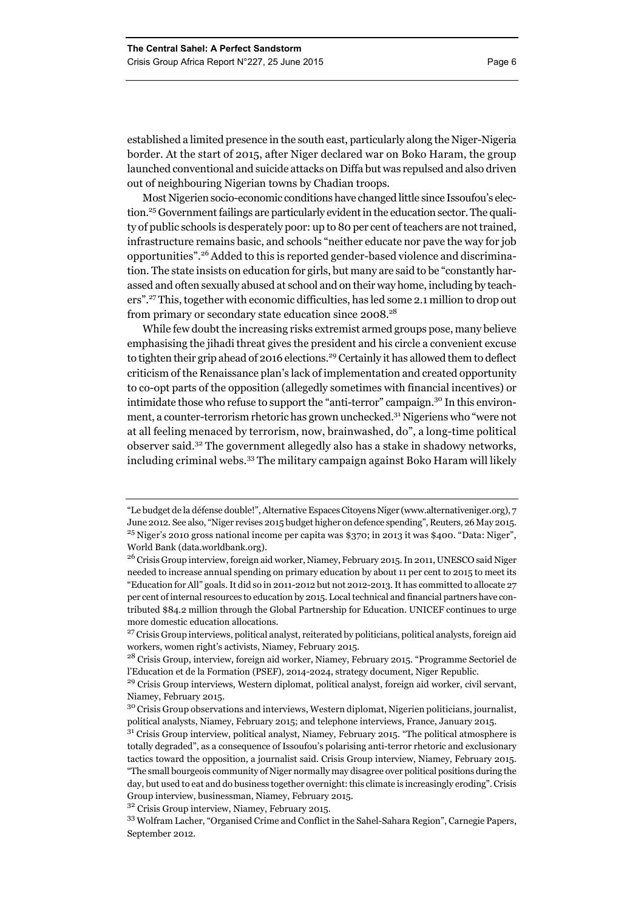established a limited presence in the south east, particularly along the Niger-Nigeria border. At the start of 2015, after Niger declared war on Boko Haram, the group launched conventional and suicide attacks on Diffa but was repulsed and also driven out of neighbouring Nigerian towns by Chadian troops.

Most Nigerien socio-economic conditions have changed little since Issoufou's election.25 Government failings are particularly evident in the education sector. The quality of public schools is desperately poor: up to 80 per cent of teachers are not trained, infrastructure remains basic, and schools "neither educate nor pave the way for job opportunities".26 Added to this is reported gender-based violence and discrimination. The state insists on education for girls, but many are said to be "constantly harassed and often sexually abused at school and on their way home, including by teachers".27 This, together with economic difficulties, has led some 2.1 million to drop out from primary or secondary state education since 2008.28

While few doubt the increasing risks extremist armed groups pose, many believe emphasising the jihadi threat gives the president and his circle a convenient excuse to tighten their grip ahead of 2016 elections.29 Certainly it has allowed them to deflect criticism of the Renaissance plan's lack of implementation and created opportunity to co-opt parts of the opposition (allegedly sometimes with financial incentives) or intimidate those who refuse to support the "anti-terror" campaign.<sup>30</sup> In this environment, a counter-terrorism rhetoric has grown unchecked.31 Nigeriens who "were not at all feeling menaced by terrorism, now, brainwashed, do", a long-time political observer said.32 The government allegedly also has a stake in shadowy networks, including criminal webs.33 The military campaign against Boko Haram will likely

<sup>&</sup>quot;Le budget de la défense double!", Alternative Espaces Citoyens Niger (www.alternativeniger.org), 7 June 2012. See also, "Niger revises 2015 budget higher on defence spending", Reuters, 26 May 2015.  $25$  Niger's 2010 gross national income per capita was \$370; in 2013 it was \$400. "Data: Niger", World Bank (data.worldbank.org).

<sup>&</sup>lt;sup>26</sup> Crisis Group interview, foreign aid worker, Niamey, February 2015. In 2011, UNESCO said Niger needed to increase annual spending on primary education by about 11 per cent to 2015 to meet its "Education for All" goals. It did so in 2011-2012 but not 2012-2013. It has committed to allocate 27 per cent of internal resources to education by 2015. Local technical and financial partners have contributed \$84.2 million through the Global Partnership for Education. UNICEF continues to urge more domestic education allocations.

<sup>&</sup>lt;sup>27</sup> Crisis Group interviews, political analyst, reiterated by politicians, political analysts, foreign aid workers, women right's activists, Niamey, February 2015.

<sup>&</sup>lt;sup>28</sup> Crisis Group, interview, foreign aid worker, Niamey, February 2015. "Programme Sectoriel de l'Education et de la Formation (PSEF), 2014-2024, strategy document, Niger Republic.

<sup>&</sup>lt;sup>29</sup> Crisis Group interviews, Western diplomat, political analyst, foreign aid worker, civil servant, Niamey, February 2015.

<sup>&</sup>lt;sup>30</sup> Crisis Group observations and interviews, Western diplomat, Nigerien politicians, journalist, political analysts, Niamey, February 2015; and telephone interviews, France, January 2015.

 $31$  Crisis Group interview, political analyst, Niamey, February 2015. "The political atmosphere is totally degraded", as a consequence of Issoufou's polarising anti-terror rhetoric and exclusionary tactics toward the opposition, a journalist said. Crisis Group interview, Niamey, February 2015. "The small bourgeois community of Niger normally may disagree over political positions during the day, but used to eat and do business together overnight: this climate is increasingly eroding". Crisis Group interview, businessman, Niamey, February 2015.

<sup>&</sup>lt;sup>32</sup> Crisis Group interview, Niamey, February 2015.

<sup>33</sup> Wolfram Lacher, "Organised Crime and Conflict in the Sahel-Sahara Region", Carnegie Papers, September 2012.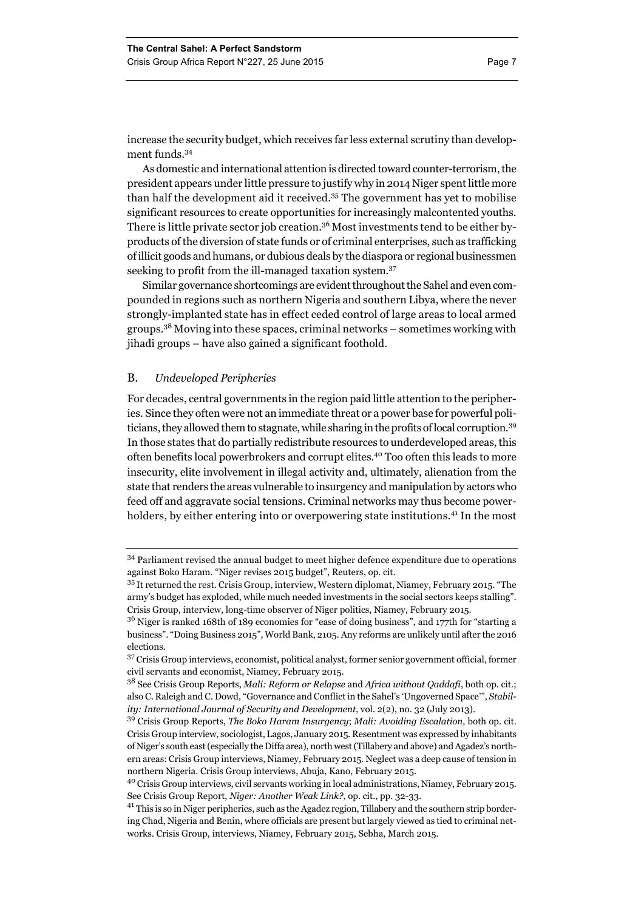As domestic and international attention is directed toward counter-terrorism, the president appears under little pressure to justify why in 2014 Niger spent little more than half the development aid it received.35 The government has yet to mobilise significant resources to create opportunities for increasingly malcontented youths. There is little private sector job creation.36 Most investments tend to be either byproducts of the diversion of state funds or of criminal enterprises, such as trafficking of illicit goods and humans, or dubious deals by the diaspora or regional businessmen seeking to profit from the ill-managed taxation system.<sup>37</sup>

Similar governance shortcomings are evident throughout the Sahel and even compounded in regions such as northern Nigeria and southern Libya, where the never strongly-implanted state has in effect ceded control of large areas to local armed groups.38 Moving into these spaces, criminal networks – sometimes working with jihadi groups – have also gained a significant foothold.

# B. *Undeveloped Peripheries*

For decades, central governments in the region paid little attention to the peripheries. Since they often were not an immediate threat or a power base for powerful politicians, they allowed them to stagnate, while sharing in the profits of local corruption.<sup>39</sup> In those states that do partially redistribute resources to underdeveloped areas, this often benefits local powerbrokers and corrupt elites.40 Too often this leads to more insecurity, elite involvement in illegal activity and, ultimately, alienation from the state that renders the areas vulnerable to insurgency and manipulation by actors who feed off and aggravate social tensions. Criminal networks may thus become powerholders, by either entering into or overpowering state institutions.41 In the most

<sup>34</sup> Parliament revised the annual budget to meet higher defence expenditure due to operations against Boko Haram. "Niger revises 2015 budget", Reuters, op. cit.

<sup>35</sup> It returned the rest. Crisis Group, interview, Western diplomat, Niamey, February 2015. "The army's budget has exploded, while much needed investments in the social sectors keeps stalling". Crisis Group, interview, long-time observer of Niger politics, Niamey, February 2015.

<sup>&</sup>lt;sup>36</sup> Niger is ranked 168th of 189 economies for "ease of doing business", and 177th for "starting a business". "Doing Business 2015", World Bank, 2105. Any reforms are unlikely until after the 2016 elections.

<sup>37</sup> Crisis Group interviews, economist, political analyst, former senior government official, former civil servants and economist, Niamey, February 2015.

<sup>38</sup> See Crisis Group Reports, *Mali: Reform or Relapse* and *Africa without Qaddafi*, both op. cit.; also C. Raleigh and C. Dowd, "Governance and Conflict in the Sahel's 'Ungoverned Space'", *Stability: International Journal of Security and Development*, vol. 2(2), no. 32 (July 2013).

<sup>39</sup> Crisis Group Reports, *The Boko Haram Insurgency*; *Mali: Avoiding Escalation*, both op. cit. Crisis Group interview, sociologist, Lagos, January 2015. Resentment was expressed by inhabitants of Niger's south east (especially the Diffa area), north west (Tillabery and above) and Agadez's northern areas: Crisis Group interviews, Niamey, February 2015. Neglect was a deep cause of tension in northern Nigeria. Crisis Group interviews, Abuja, Kano, February 2015.

<sup>40</sup> Crisis Group interviews, civil servants working in local administrations, Niamey, February 2015. See Crisis Group Report, *Niger: Another Weak Link?*, op. cit., pp. 32-33.

<sup>41</sup> This is so in Niger peripheries, such as the Agadez region, Tillabery and the southern strip bordering Chad, Nigeria and Benin, where officials are present but largely viewed as tied to criminal networks. Crisis Group, interviews, Niamey, February 2015, Sebha, March 2015.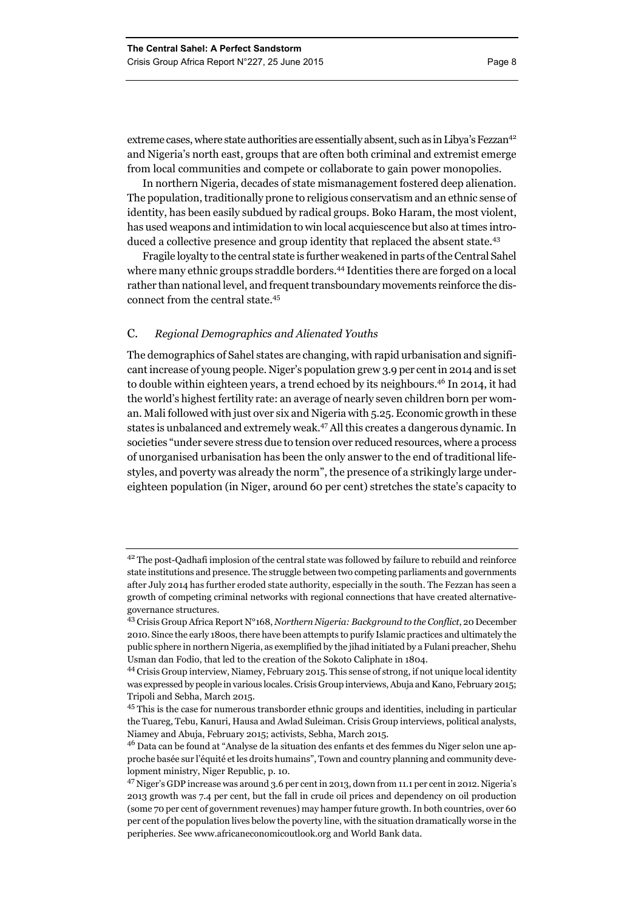extreme cases, where state authorities are essentially absent, such as in Libya's Fezzan<sup>42</sup> and Nigeria's north east, groups that are often both criminal and extremist emerge from local communities and compete or collaborate to gain power monopolies.

In northern Nigeria, decades of state mismanagement fostered deep alienation. The population, traditionally prone to religious conservatism and an ethnic sense of identity, has been easily subdued by radical groups. Boko Haram, the most violent, has used weapons and intimidation to win local acquiescence but also at times introduced a collective presence and group identity that replaced the absent state.<sup>43</sup>

Fragile loyalty to the central state is further weakened in parts of the Central Sahel where many ethnic groups straddle borders.<sup>44</sup> Identities there are forged on a local rather than national level, and frequent transboundary movements reinforce the disconnect from the central state.45

# C. *Regional Demographics and Alienated Youths*

The demographics of Sahel states are changing, with rapid urbanisation and significant increase of young people. Niger's population grew 3.9 per cent in 2014 and is set to double within eighteen years, a trend echoed by its neighbours.<sup>46</sup> In 2014, it had the world's highest fertility rate: an average of nearly seven children born per woman. Mali followed with just over six and Nigeria with 5.25. Economic growth in these states is unbalanced and extremely weak.47 All this creates a dangerous dynamic. In societies "under severe stress due to tension over reduced resources, where a process of unorganised urbanisation has been the only answer to the end of traditional lifestyles, and poverty was already the norm", the presence of a strikingly large undereighteen population (in Niger, around 60 per cent) stretches the state's capacity to

<sup>&</sup>lt;sup>42</sup> The post-Qadhafi implosion of the central state was followed by failure to rebuild and reinforce state institutions and presence. The struggle between two competing parliaments and governments after July 2014 has further eroded state authority, especially in the south. The Fezzan has seen a growth of competing criminal networks with regional connections that have created alternativegovernance structures.

<sup>43</sup> Crisis Group Africa Report N°168, *Northern Nigeria: Background to the Conflict*, 20 December 2010. Since the early 1800s, there have been attempts to purify Islamic practices and ultimately the public sphere in northern Nigeria, as exemplified by the jihad initiated by a Fulani preacher, Shehu Usman dan Fodio, that led to the creation of the Sokoto Caliphate in 1804.

<sup>44</sup> Crisis Group interview, Niamey, February 2015. This sense of strong, if not unique local identity was expressed by people in various locales. Crisis Group interviews, Abuja and Kano, February 2015; Tripoli and Sebha, March 2015.

<sup>45</sup> This is the case for numerous transborder ethnic groups and identities, including in particular the Tuareg, Tebu, Kanuri, Hausa and Awlad Suleiman. Crisis Group interviews, political analysts, Niamey and Abuja, February 2015; activists, Sebha, March 2015.

<sup>46</sup> Data can be found at "Analyse de la situation des enfants et des femmes du Niger selon une approche basée sur l'équité et les droits humains", Town and country planning and community development ministry, Niger Republic, p. 10.

<sup>47</sup> Niger's GDP increase was around 3.6 per cent in 2013, down from 11.1 per cent in 2012. Nigeria's 2013 growth was 7.4 per cent, but the fall in crude oil prices and dependency on oil production (some 70 per cent of government revenues) may hamper future growth. In both countries, over 60 per cent of the population lives below the poverty line, with the situation dramatically worse in the peripheries. See www.africaneconomicoutlook.org and World Bank data.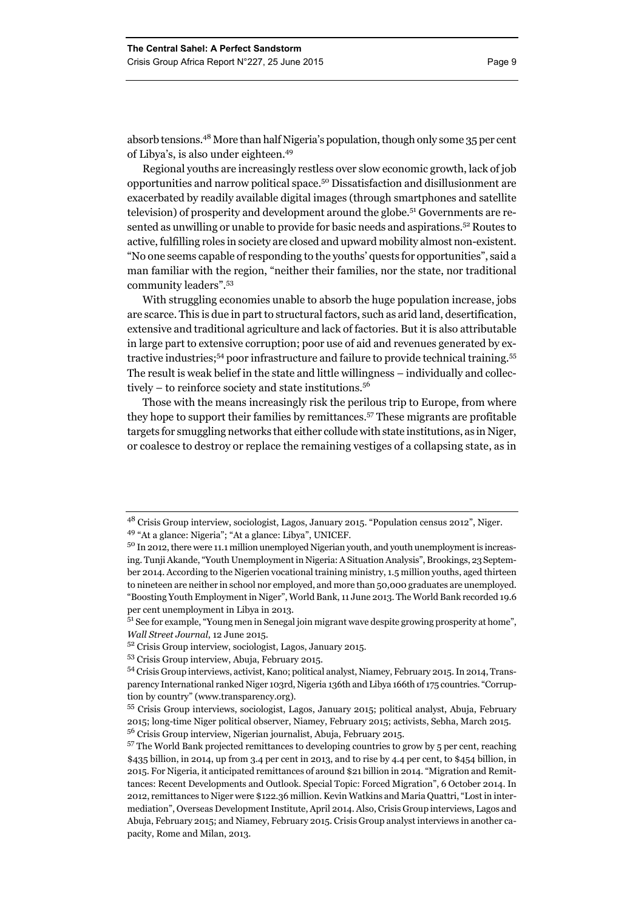absorb tensions.48 More than half Nigeria's population, though only some 35 per cent of Libya's, is also under eighteen.<sup>49</sup>

Regional youths are increasingly restless over slow economic growth, lack of job opportunities and narrow political space.50 Dissatisfaction and disillusionment are exacerbated by readily available digital images (through smartphones and satellite television) of prosperity and development around the globe.51 Governments are resented as unwilling or unable to provide for basic needs and aspirations.<sup>52</sup> Routes to active, fulfilling roles in society are closed and upward mobility almost non-existent. "No one seems capable of responding to the youths' quests for opportunities", said a man familiar with the region, "neither their families, nor the state, nor traditional community leaders".53

With struggling economies unable to absorb the huge population increase, jobs are scarce. This is due in part to structural factors, such as arid land, desertification, extensive and traditional agriculture and lack of factories. But it is also attributable in large part to extensive corruption; poor use of aid and revenues generated by extractive industries;<sup>54</sup> poor infrastructure and failure to provide technical training.<sup>55</sup> The result is weak belief in the state and little willingness – individually and collectively – to reinforce society and state institutions.<sup>56</sup>

Those with the means increasingly risk the perilous trip to Europe, from where they hope to support their families by remittances.57 These migrants are profitable targets for smuggling networks that either collude with state institutions, as in Niger, or coalesce to destroy or replace the remaining vestiges of a collapsing state, as in

<sup>48</sup> Crisis Group interview, sociologist, Lagos, January 2015. "Population census 2012", Niger.

<sup>49 &</sup>quot;At a glance: Nigeria"; "At a glance: Libya", UNICEF.

<sup>&</sup>lt;sup>50</sup> In 2012, there were 11.1 million unemployed Nigerian youth, and youth unemployment is increasing. Tunji Akande, "Youth Unemployment in Nigeria: A Situation Analysis", Brookings, 23 September 2014. According to the Nigerien vocational training ministry, 1.5 million youths, aged thirteen to nineteen are neither in school nor employed, and more than 50,000 graduates are unemployed. "Boosting Youth Employment in Niger", World Bank, 11 June 2013. The World Bank recorded 19.6 per cent unemployment in Libya in 2013.

<sup>&</sup>lt;sup>51</sup> See for example, "Young men in Senegal join migrant wave despite growing prosperity at home", *Wall Street Journal*, 12 June 2015.

<sup>52</sup> Crisis Group interview, sociologist, Lagos, January 2015.

<sup>53</sup> Crisis Group interview, Abuja, February 2015.

<sup>54</sup> Crisis Group interviews, activist, Kano; political analyst, Niamey, February 2015. In 2014, Transparency International ranked Niger 103rd, Nigeria 136th and Libya 166th of 175 countries. "Corruption by country" (www.transparency.org).

<sup>55</sup> Crisis Group interviews, sociologist, Lagos, January 2015; political analyst, Abuja, February 2015; long-time Niger political observer, Niamey, February 2015; activists, Sebha, March 2015. <sup>56</sup> Crisis Group interview, Nigerian journalist, Abuja, February 2015.

<sup>&</sup>lt;sup>57</sup> The World Bank projected remittances to developing countries to grow by 5 per cent, reaching \$435 billion, in 2014, up from 3.4 per cent in 2013, and to rise by 4.4 per cent, to \$454 billion, in 2015. For Nigeria, it anticipated remittances of around \$21 billion in 2014. "Migration and Remittances: Recent Developments and Outlook. Special Topic: Forced Migration", 6 October 2014. In 2012, remittances to Niger were \$122.36 million. Kevin Watkins and Maria Quattri, "Lost in intermediation", Overseas Development Institute, April 2014. Also, Crisis Group interviews, Lagos and Abuja, February 2015; and Niamey, February 2015. Crisis Group analyst interviews in another capacity, Rome and Milan, 2013.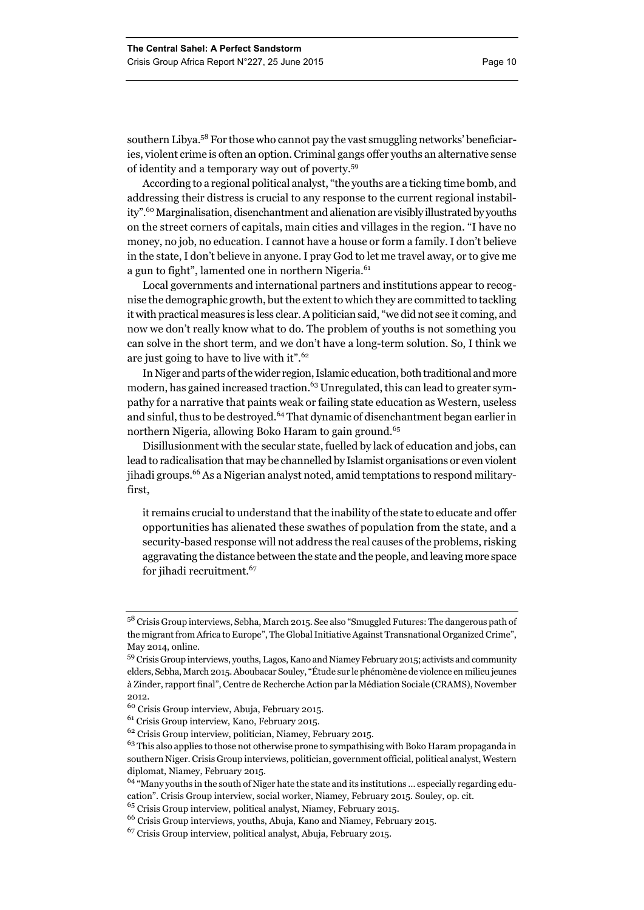southern Libya.58 For those who cannot pay the vast smuggling networks' beneficiaries, violent crime is often an option. Criminal gangs offer youths an alternative sense of identity and a temporary way out of poverty.59

According to a regional political analyst, "the youths are a ticking time bomb, and addressing their distress is crucial to any response to the current regional instability".60 Marginalisation, disenchantment and alienation are visibly illustrated by youths on the street corners of capitals, main cities and villages in the region. "I have no money, no job, no education. I cannot have a house or form a family. I don't believe in the state, I don't believe in anyone. I pray God to let me travel away, or to give me a gun to fight", lamented one in northern Nigeria.<sup>61</sup>

Local governments and international partners and institutions appear to recognise the demographic growth, but the extent to which they are committed to tackling it with practical measures is less clear. A politician said, "we did not see it coming, and now we don't really know what to do. The problem of youths is not something you can solve in the short term, and we don't have a long-term solution. So, I think we are just going to have to live with it".<sup>62</sup>

In Niger and parts of the wider region, Islamic education, both traditional and more modern, has gained increased traction.<sup>63</sup> Unregulated, this can lead to greater sympathy for a narrative that paints weak or failing state education as Western, useless and sinful, thus to be destroyed.<sup>64</sup> That dynamic of disenchantment began earlier in northern Nigeria, allowing Boko Haram to gain ground.<sup>65</sup>

Disillusionment with the secular state, fuelled by lack of education and jobs, can lead to radicalisation that may be channelled by Islamist organisations or even violent jihadi groups.<sup>66</sup> As a Nigerian analyst noted, amid temptations to respond militaryfirst,

it remains crucial to understand that the inability of the state to educate and offer opportunities has alienated these swathes of population from the state, and a security-based response will not address the real causes of the problems, risking aggravating the distance between the state and the people, and leaving more space for jihadi recruitment.67

<sup>58</sup> Crisis Group interviews, Sebha, March 2015. See also "Smuggled Futures: The dangerous path of the migrant from Africa to Europe", The Global Initiative Against Transnational Organized Crime", May 2014, online.

<sup>59</sup> Crisis Group interviews, youths, Lagos, Kano and Niamey February 2015; activists and community elders, Sebha, March 2015. Aboubacar Souley, "Étude sur le phénomène de violence en milieu jeunes à Zinder, rapport final", Centre de Recherche Action par la Médiation Sociale (CRAMS), November 2012.

<sup>60</sup> Crisis Group interview, Abuja, February 2015.

<sup>61</sup> Crisis Group interview, Kano, February 2015.

<sup>62</sup> Crisis Group interview, politician, Niamey, February 2015.

<sup>&</sup>lt;sup>63</sup> This also applies to those not otherwise prone to sympathising with Boko Haram propaganda in southern Niger. Crisis Group interviews, politician, government official, political analyst, Western diplomat, Niamey, February 2015.

<sup>64 &</sup>quot;Many youths in the south of Niger hate the state and its institutions … especially regarding education". Crisis Group interview, social worker, Niamey, February 2015. Souley, op. cit.

<sup>65</sup> Crisis Group interview, political analyst, Niamey, February 2015.

<sup>66</sup> Crisis Group interviews, youths, Abuja, Kano and Niamey, February 2015.

<sup>67</sup> Crisis Group interview, political analyst, Abuja, February 2015.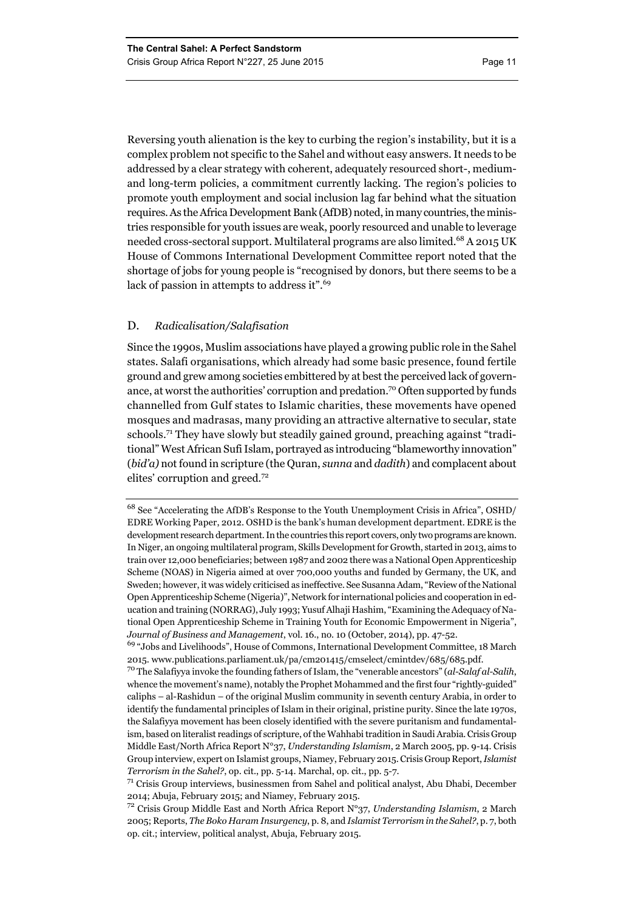Reversing youth alienation is the key to curbing the region's instability, but it is a complex problem not specific to the Sahel and without easy answers. It needs to be addressed by a clear strategy with coherent, adequately resourced short-, mediumand long-term policies, a commitment currently lacking. The region's policies to promote youth employment and social inclusion lag far behind what the situation requires. As the Africa Development Bank (AfDB) noted, in many countries, the ministries responsible for youth issues are weak, poorly resourced and unable to leverage needed cross-sectoral support. Multilateral programs are also limited.<sup>68</sup> A 2015 UK House of Commons International Development Committee report noted that the shortage of jobs for young people is "recognised by donors, but there seems to be a lack of passion in attempts to address it".<sup>69</sup>

# D. *Radicalisation/Salafisation*

Since the 1990s, Muslim associations have played a growing public role in the Sahel states. Salafi organisations, which already had some basic presence, found fertile ground and grew among societies embittered by at best the perceived lack of governance, at worst the authorities' corruption and predation.70 Often supported by funds channelled from Gulf states to Islamic charities, these movements have opened mosques and madrasas, many providing an attractive alternative to secular, state schools.71 They have slowly but steadily gained ground, preaching against "traditional" West African Sufi Islam, portrayed as introducing "blameworthy innovation" (*bid'a)* not found in scripture (the Quran, *sunna* and *dadith*) and complacent about elites' corruption and greed.72

 $^{68}$  See "Accelerating the AfDB's Response to the Youth Unemployment Crisis in Africa", OSHD/  $\,$ EDRE Working Paper, 2012. OSHD is the bank's human development department. EDRE is the development research department. In the countries this report covers, only two programs are known. In Niger, an ongoing multilateral program, Skills Development for Growth, started in 2013, aims to train over 12,000 beneficiaries; between 1987 and 2002 there was a National Open Apprenticeship Scheme (NOAS) in Nigeria aimed at over 700,000 youths and funded by Germany, the UK, and Sweden; however, it was widely criticised as ineffective. See Susanna Adam, "Review of the National Open Apprenticeship Scheme (Nigeria)", Network for international policies and cooperation in education and training (NORRAG), July 1993; Yusuf Alhaji Hashim, "Examining the Adequacy of National Open Apprenticeship Scheme in Training Youth for Economic Empowerment in Nigeria", *Journal of Business and Management*, vol. 16., no. 10 (October, 2014), pp. 47-52.

<sup>69 &</sup>quot;Jobs and Livelihoods", House of Commons, International Development Committee, 18 March 2015. www.publications.parliament.uk/pa/cm201415/cmselect/cmintdev/685/685.pdf.

<sup>70</sup> The Salafiyya invoke the founding fathers of Islam, the "venerable ancestors" (*al-Salaf al-Salih*, whence the movement's name), notably the Prophet Mohammed and the first four "rightly-guided" caliphs – al-Rashidun – of the original Muslim community in seventh century Arabia, in order to identify the fundamental principles of Islam in their original, pristine purity. Since the late 1970s, the Salafiyya movement has been closely identified with the severe puritanism and fundamentalism, based on literalist readings of scripture, of the Wahhabi tradition in Saudi Arabia. Crisis Group Middle East/North Africa Report N°37, *Understanding Islamism*, 2 March 2005, pp. 9-14. Crisis Group interview, expert on Islamist groups, Niamey, February 2015. Crisis Group Report, *Islamist Terrorism in the Sahel?*, op. cit., pp. 5-14. Marchal, op. cit., pp. 5-7.

 $71$  Crisis Group interviews, businessmen from Sahel and political analyst, Abu Dhabi, December 2014; Abuja, February 2015; and Niamey, February 2015.

<sup>72</sup> Crisis Group Middle East and North Africa Report N°37, *Understanding Islamism*, 2 March 2005; Reports, *The Boko Haram Insurgency*, p. 8, and *Islamist Terrorism in the Sahel?*, p. 7, both op. cit.; interview, political analyst, Abuja, February 2015.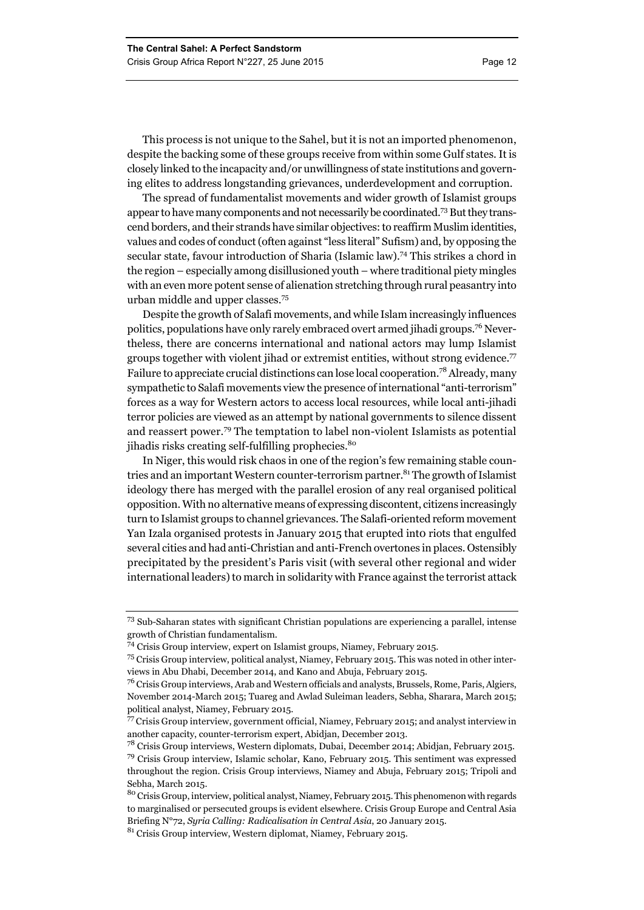This process is not unique to the Sahel, but it is not an imported phenomenon, despite the backing some of these groups receive from within some Gulf states. It is closely linked to the incapacity and/or unwillingness of state institutions and governing elites to address longstanding grievances, underdevelopment and corruption.

The spread of fundamentalist movements and wider growth of Islamist groups appear to have many components and not necessarily be coordinated.73 But they transcend borders, and their strands have similar objectives: to reaffirm Muslim identities, values and codes of conduct (often against "less literal" Sufism) and, by opposing the secular state, favour introduction of Sharia (Islamic law).<sup>74</sup> This strikes a chord in the region – especially among disillusioned youth – where traditional piety mingles with an even more potent sense of alienation stretching through rural peasantry into urban middle and upper classes.<sup>75</sup>

Despite the growth of Salafi movements, and while Islam increasingly influences politics, populations have only rarely embraced overt armed jihadi groups.76 Nevertheless, there are concerns international and national actors may lump Islamist groups together with violent jihad or extremist entities, without strong evidence.<sup>77</sup> Failure to appreciate crucial distinctions can lose local cooperation.<sup>78</sup> Already, many sympathetic to Salafi movements view the presence of international "anti-terrorism" forces as a way for Western actors to access local resources, while local anti-jihadi terror policies are viewed as an attempt by national governments to silence dissent and reassert power.79 The temptation to label non-violent Islamists as potential jihadis risks creating self-fulfilling prophecies.<sup>80</sup>

In Niger, this would risk chaos in one of the region's few remaining stable countries and an important Western counter-terrorism partner.<sup>81</sup> The growth of Islamist ideology there has merged with the parallel erosion of any real organised political opposition. With no alternative means of expressing discontent, citizens increasingly turn to Islamist groups to channel grievances. The Salafi-oriented reform movement Yan Izala organised protests in January 2015 that erupted int0 riots that engulfed several cities and had anti-Christian and anti-French overtones in places. Ostensibly precipitated by the president's Paris visit (with several other regional and wider international leaders) to march in solidarity with France against the terrorist attack

<sup>73</sup> Sub-Saharan states with significant Christian populations are experiencing a parallel, intense growth of Christian fundamentalism.

<sup>74</sup> Crisis Group interview, expert on Islamist groups, Niamey, February 2015.

<sup>75</sup> Crisis Group interview, political analyst, Niamey, February 2015. This was noted in other interviews in Abu Dhabi, December 2014, and Kano and Abuja, February 2015.

<sup>&</sup>lt;sup>76</sup> Crisis Group interviews, Arab and Western officials and analysts, Brussels, Rome, Paris, Algiers, November 2014-March 2015; Tuareg and Awlad Suleiman leaders, Sebha, Sharara, March 2015; political analyst, Niamey, February 2015.

 $77$  Crisis Group interview, government official, Niamey, February 2015; and analyst interview in another capacity, counter-terrorism expert, Abidjan, December 2013.

<sup>78</sup> Crisis Group interviews, Western diplomats, Dubai, December 2014; Abidjan, February 2015. 79 Crisis Group interview, Islamic scholar, Kano, February 2015. This sentiment was expressed throughout the region. Crisis Group interviews, Niamey and Abuja, February 2015; Tripoli and Sebha, March 2015.

<sup>80</sup> Crisis Group, interview, political analyst, Niamey, February 2015. This phenomenon with regards to marginalised or persecuted groups is evident elsewhere. Crisis Group Europe and Central Asia Briefing N°72, *Syria Calling: Radicalisation in Central Asia*, 20 January 2015.

<sup>81</sup> Crisis Group interview, Western diplomat, Niamey, February 2015.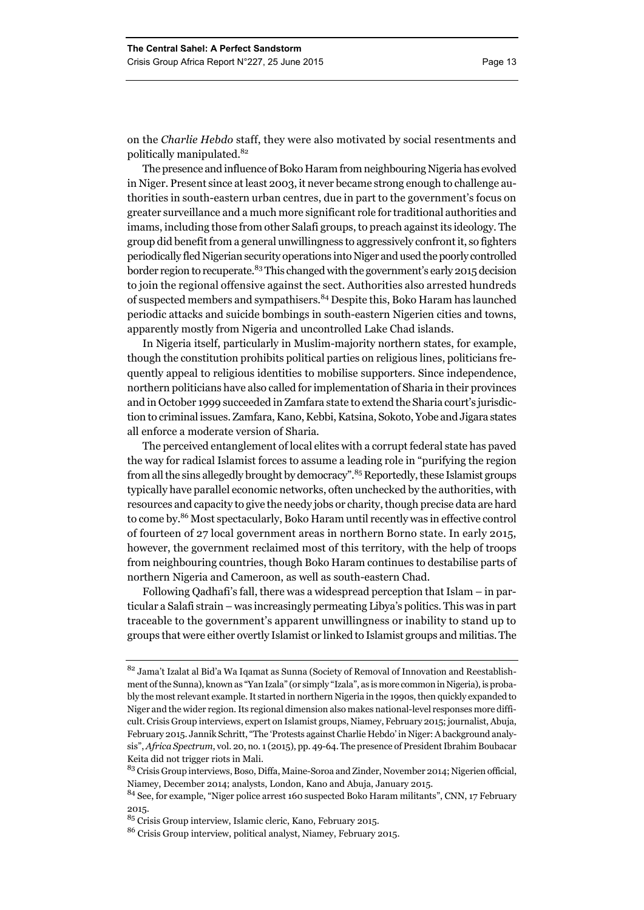on the *Charlie Hebdo* staff, they were also motivated by social resentments and politically manipulated.82

The presence and influence of Boko Haram from neighbouring Nigeria has evolved in Niger. Present since at least 2003, it never became strong enough to challenge authorities in south-eastern urban centres, due in part to the government's focus on greater surveillance and a much more significant role for traditional authorities and imams, including those from other Salafi groups, to preach against its ideology. The group did benefit from a general unwillingness to aggressively confront it, so fighters periodically fled Nigerian security operations into Niger and used the poorly controlled border region to recuperate.<sup>83</sup> This changed with the government's early 2015 decision to join the regional offensive against the sect. Authorities also arrested hundreds of suspected members and sympathisers.84 Despite this, Boko Haram has launched periodic attacks and suicide bombings in south-eastern Nigerien cities and towns, apparently mostly from Nigeria and uncontrolled Lake Chad islands.

In Nigeria itself, particularly in Muslim-majority northern states, for example, though the constitution prohibits political parties on religious lines, politicians frequently appeal to religious identities to mobilise supporters. Since independence, northern politicians have also called for implementation of Sharia in their provinces and in October 1999 succeeded in Zamfara state to extend the Sharia court's jurisdiction to criminal issues. Zamfara, Kano, Kebbi, Katsina, Sokoto, Yobe and Jigara states all enforce a moderate version of Sharia.

The perceived entanglement of local elites with a corrupt federal state has paved the way for radical Islamist forces to assume a leading role in "purifying the region from all the sins allegedly brought by democracy".85 Reportedly, these Islamist groups typically have parallel economic networks, often unchecked by the authorities, with resources and capacity to give the needy jobs or charity, though precise data are hard to come by.86 Most spectacularly, Boko Haram until recently was in effective control of fourteen of 27 local government areas in northern Borno state. In early 2015, however, the government reclaimed most of this territory, with the help of troops from neighbouring countries, though Boko Haram continues to destabilise parts of northern Nigeria and Cameroon, as well as south-eastern Chad.

Following Qadhafi's fall, there was a widespread perception that Islam – in particular a Salafi strain – was increasingly permeating Libya's politics. This was in part traceable to the government's apparent unwillingness or inability to stand up to groups that were either overtly Islamist or linked to Islamist groups and militias. The

<sup>82</sup> Jama't Izalat al Bid'a Wa Iqamat as Sunna (Society of Removal of Innovation and Reestablishment of the Sunna), known as "Yan Izala" (or simply "Izala", as is more common in Nigeria), is probably the most relevant example. It started in northern Nigeria in the 1990s, then quickly expanded to Niger and the wider region. Its regional dimension also makes national-level responses more difficult. Crisis Group interviews, expert on Islamist groups, Niamey, February 2015; journalist, Abuja, February 2015. Jannik Schritt, "The 'Protests against Charlie Hebdo' in Niger: A background analysis", *Africa Spectrum*, vol. 20, no. 1 (2015), pp. 49-64. The presence of President Ibrahim Boubacar Keita did not trigger riots in Mali.

<sup>83</sup> Crisis Group interviews, Boso, Diffa, Maine-Soroa and Zinder, November 2014; Nigerien official, Niamey, December 2014; analysts, London, Kano and Abuja, January 2015.

<sup>&</sup>lt;sup>84</sup> See, for example, "Niger police arrest 160 suspected Boko Haram militants", CNN, 17 February 2015.

<sup>85</sup> Crisis Group interview, Islamic cleric, Kano, February 2015.

<sup>86</sup> Crisis Group interview, political analyst, Niamey, February 2015.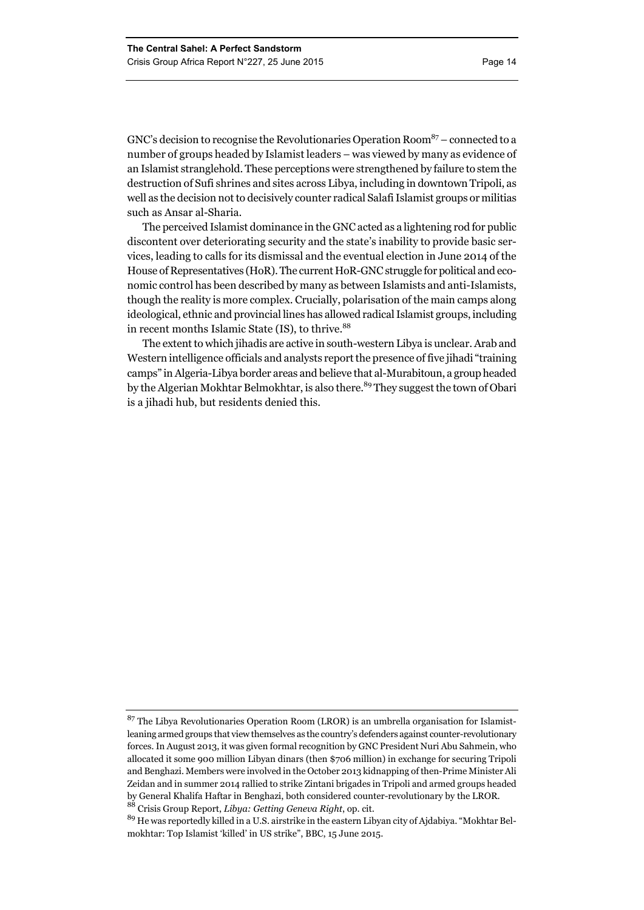GNC's decision to recognise the Revolutionaries Operation Room<sup>87</sup> – connected to a number of groups headed by Islamist leaders – was viewed by many as evidence of an Islamist stranglehold. These perceptions were strengthened by failure to stem the

destruction of Sufi shrines and sites across Libya, including in downtown Tripoli, as well as the decision not to decisively counter radical Salafi Islamist groups or militias such as Ansar al-Sharia.

The perceived Islamist dominance in the GNC acted as a lightening rod for public discontent over deteriorating security and the state's inability to provide basic services, leading to calls for its dismissal and the eventual election in June 2014 of the House of Representatives (HoR). The current HoR-GNC struggle for political and economic control has been described by many as between Islamists and anti-Islamists, though the reality is more complex. Crucially, polarisation of the main camps along ideological, ethnic and provincial lines has allowed radical Islamist groups, including in recent months Islamic State (IS), to thrive.<sup>88</sup>

The extent to which jihadis are active in south-western Libya is unclear. Arab and Western intelligence officials and analysts report the presence of five jihadi "training camps" in Algeria-Libya border areas and believe that al-Murabitoun, a group headed by the Algerian Mokhtar Belmokhtar, is also there.<sup>89</sup> They suggest the town of Obari is a jihadi hub, but residents denied this.

 $^{87}\!$  The Libya Revolutionaries Operation Room (LROR) is an umbrella organisation for Islamistleaning armed groups that view themselves as the country's defenders against counter-revolutionary forces. In August 2013, it was given formal recognition by GNC President Nuri Abu Sahmein, who allocated it some 900 million Libyan dinars (then \$706 million) in exchange for securing Tripoli and Benghazi. Members were involved in the October 2013 kidnapping of then-Prime Minister Ali Zeidan and in summer 2014 rallied to strike Zintani brigades in Tripoli and armed groups headed by General Khalifa Haftar in Benghazi, both considered counter-revolutionary by the LROR. 88 Crisis Group Report, *Libya: Getting Geneva Right*, op. cit.

<sup>89</sup> He was reportedly killed in a U.S. airstrike in the eastern Libyan city of Ajdabiya. "Mokhtar Belmokhtar: Top Islamist 'killed' in US strike", BBC, 15 June 2015.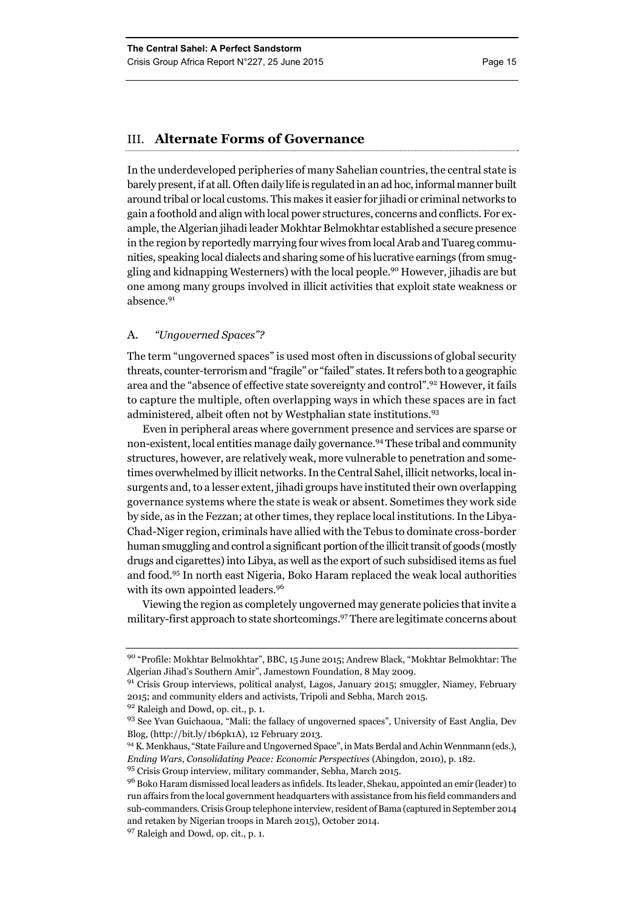# III. **Alternate Forms of Governance**

In the underdeveloped peripheries of many Sahelian countries, the central state is barely present, if at all. Often daily life is regulated in an ad hoc, informal manner built around tribal or local customs. This makes it easier for jihadi or criminal networks to gain a foothold and align with local power structures, concerns and conflicts. For example, the Algerian jihadi leader Mokhtar Belmokhtar established a secure presence in the region by reportedly marrying four wives from local Arab and Tuareg communities, speaking local dialects and sharing some of his lucrative earnings (from smuggling and kidnapping Westerners) with the local people.90 However, jihadis are but one among many groups involved in illicit activities that exploit state weakness or absence.<sup>91</sup>

# A. *"Ungoverned Spaces"?*

The term "ungoverned spaces" is used most often in discussions of global security threats, counter-terrorism and "fragile" or "failed" states. It refers both to a geographic area and the "absence of effective state sovereignty and control".92 However, it fails to capture the multiple, often overlapping ways in which these spaces are in fact administered, albeit often not by Westphalian state institutions.93

Even in peripheral areas where government presence and services are sparse or non-existent, local entities manage daily governance.<sup>94</sup> These tribal and community structures, however, are relatively weak, more vulnerable to penetration and sometimes overwhelmed by illicit networks. In the Central Sahel, illicit networks, local insurgents and, to a lesser extent, jihadi groups have instituted their own overlapping governance systems where the state is weak or absent. Sometimes they work side by side, as in the Fezzan; at other times, they replace local institutions. In the Libya-Chad-Niger region, criminals have allied with the Tebus to dominate cross-border human smuggling and control a significant portion of the illicit transit of goods (mostly drugs and cigarettes) into Libya, as well as the export of such subsidised items as fuel and food.95 In north east Nigeria, Boko Haram replaced the weak local authorities with its own appointed leaders.<sup>96</sup>

Viewing the region as completely ungoverned may generate policies that invite a military-first approach to state shortcomings.97 There are legitimate concerns about

92 Raleigh and Dowd, op. cit., p. 1.

<sup>90 &</sup>quot;Profile: Mokhtar Belmokhtar", BBC, 15 June 2015; Andrew Black, "Mokhtar Belmokhtar: The Algerian Jihad's Southern Amir", Jamestown Foundation, 8 May 2009.

<sup>&</sup>lt;sup>91</sup> Crisis Group interviews, political analyst, Lagos, January 2015; smuggler, Niamey, February 2015; and community elders and activists, Tripoli and Sebha, March 2015.

<sup>93</sup> See Yvan Guichaoua, "Mali: the fallacy of ungoverned spaces", University of East Anglia, Dev Blog, (http://bit.ly/1b6pk1A), 12 February 2013.

<sup>94</sup> K. Menkhaus, "State Failure and Ungoverned Space", in Mats Berdal and Achin Wennmann (eds.), *Ending Wars*, *Consolidating Peace: Economic Perspectives* (Abingdon, 2010), p. 182.

<sup>95</sup> Crisis Group interview, military commander, Sebha, March 2015.

<sup>&</sup>lt;sup>96</sup> Boko Haram dismissed local leaders as infidels. Its leader, Shekau, appointed an emir (leader) to run affairs from the local government headquarters with assistance from his field commanders and sub-commanders. Crisis Group telephone interview, resident of Bama (captured in September 2014 and retaken by Nigerian troops in March 2015), October 2014.

<sup>97</sup> Raleigh and Dowd, op. cit., p. 1.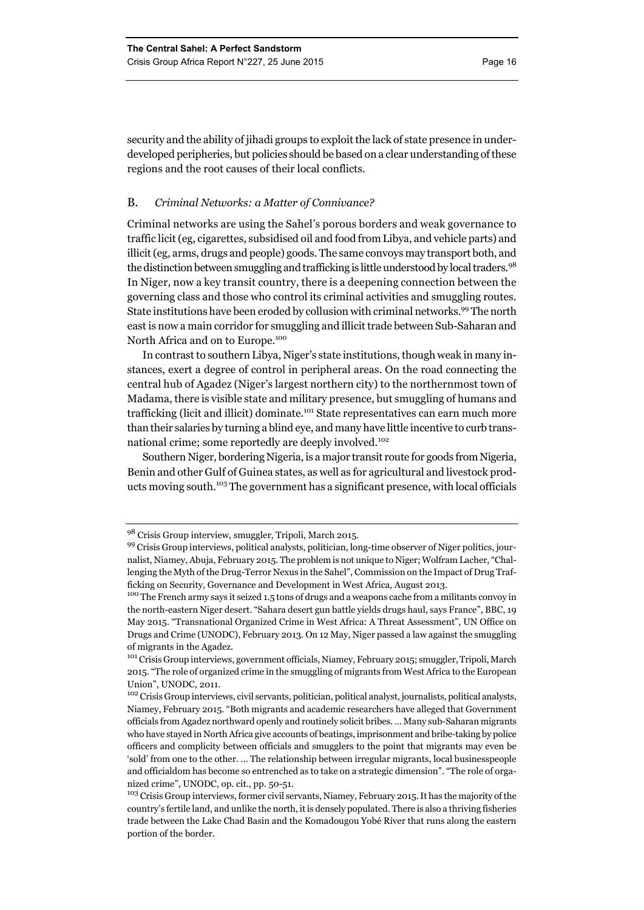security and the ability of jihadi groups to exploit the lack of state presence in underdeveloped peripheries, but policies should be based on a clear understanding of these regions and the root causes of their local conflicts.

# B. *Criminal Networks: a Matter of Connivance?*

Criminal networks are using the Sahel's porous borders and weak governance to traffic licit (eg, cigarettes, subsidised oil and food from Libya, and vehicle parts) and illicit (eg, arms, drugs and people) goods. The same convoys may transport both, and the distinction between smuggling and trafficking is little understood by local traders.<sup>98</sup> In Niger, now a key transit country, there is a deepening connection between the governing class and those who control its criminal activities and smuggling routes. State institutions have been eroded by collusion with criminal networks.99 The north east is now a main corridor for smuggling and illicit trade between Sub-Saharan and North Africa and on to Europe.<sup>100</sup>

In contrast to southern Libya, Niger's state institutions, though weak in many instances, exert a degree of control in peripheral areas. On the road connecting the central hub of Agadez (Niger's largest northern city) to the northernmost town of Madama, there is visible state and military presence, but smuggling of humans and trafficking (licit and illicit) dominate.<sup>101</sup> State representatives can earn much more than their salaries by turning a blind eye, and many have little incentive to curb transnational crime; some reportedly are deeply involved.<sup>102</sup>

Southern Niger, bordering Nigeria, is a major transit route for goods from Nigeria, Benin and other Gulf of Guinea states, as well as for agricultural and livestock products moving south.103 The government has a significant presence, with local officials

<sup>98</sup> Crisis Group interview, smuggler, Tripoli, March 2015.

<sup>99</sup> Crisis Group interviews, political analysts, politician, long-time observer of Niger politics, journalist, Niamey, Abuja, February 2015. The problem is not unique to Niger; Wolfram Lacher, "Challenging the Myth of the Drug-Terror Nexus in the Sahel", Commission on the Impact of Drug Trafficking on Security, Governance and Development in West Africa, August 2013.<br><sup>100</sup> The French army says it seized 1.5 tons of drugs and a weapons cache from a militants convoy in

the north-eastern Niger desert. "Sahara desert gun battle yields drugs haul, says France", BBC, 19 May 2015. "Transnational Organized Crime in West Africa: A Threat Assessment", UN Office on Drugs and Crime (UNODC), February 2013. On 12 May, Niger passed a law against the smuggling of migrants in the Agadez.

<sup>&</sup>lt;sup>101</sup> Crisis Group interviews, government officials, Niamey, February 2015; smuggler, Tripoli, March 2015. "The role of organized crime in the smuggling of migrants from West Africa to the European Union", UNODC, 2011.

<sup>&</sup>lt;sup>102</sup> Crisis Group interviews, civil servants, politician, political analyst, journalists, political analysts, Niamey, February 2015. "Both migrants and academic researchers have alleged that Government officials from Agadez northward openly and routinely solicit bribes. … Many sub-Saharan migrants who have stayed in North Africa give accounts of beatings, imprisonment and bribe-taking by police officers and complicity between officials and smugglers to the point that migrants may even be 'sold' from one to the other. … The relationship between irregular migrants, local businesspeople and officialdom has become so entrenched as to take on a strategic dimension". "The role of organized crime", UNODC, op. cit., pp. 50-51.

<sup>&</sup>lt;sup>103</sup> Crisis Group interviews, former civil servants, Niamey, February 2015. It has the majority of the country's fertile land, and unlike the north, it is densely populated. There is also a thriving fisheries trade between the Lake Chad Basin and the Komadougou Yobé River that runs along the eastern portion of the border.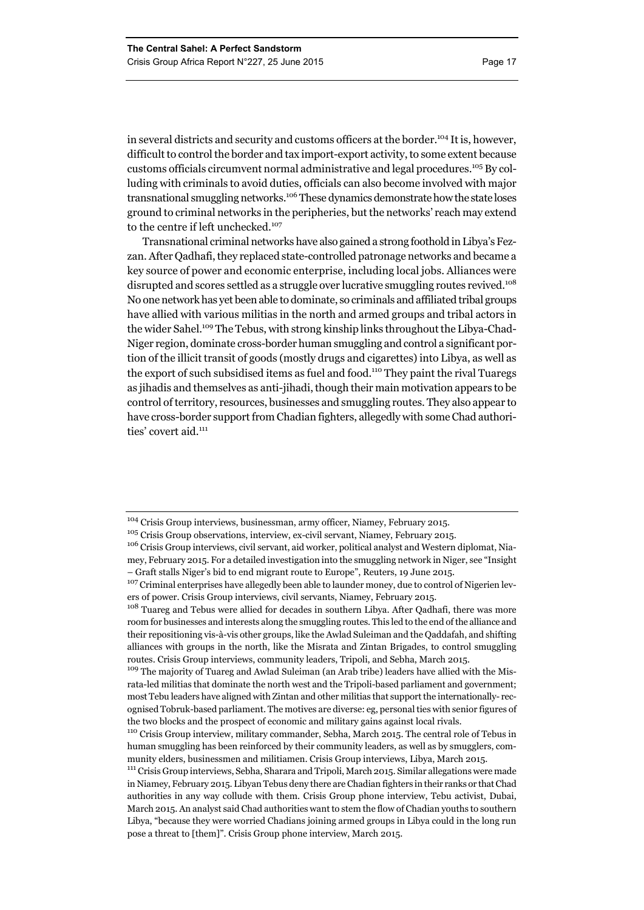in several districts and security and customs officers at the border.<sup>104</sup> It is, however, difficult to control the border and tax import-export activity, to some extent because customs officials circumvent normal administrative and legal procedures.105 By colluding with criminals to avoid duties, officials can also become involved with major transnational smuggling networks.<sup>106</sup> These dynamics demonstrate how the state loses ground to criminal networks in the peripheries, but the networks' reach may extend to the centre if left unchecked.<sup>107</sup>

Transnational criminal networks have also gained a strong foothold in Libya's Fezzan. After Qadhafi, they replaced state-controlled patronage networks and became a key source of power and economic enterprise, including local jobs. Alliances were disrupted and scores settled as a struggle over lucrative smuggling routes revived.<sup>108</sup> No one network has yet been able to dominate, so criminals and affiliated tribal groups have allied with various militias in the north and armed groups and tribal actors in the wider Sahel.<sup>109</sup> The Tebus, with strong kinship links throughout the Libya-Chad-Niger region, dominate cross-border human smuggling and control a significant portion of the illicit transit of goods (mostly drugs and cigarettes) into Libya, as well as the export of such subsidised items as fuel and food.<sup>110</sup> They paint the rival Tuaregs as jihadis and themselves as anti-jihadi, though their main motivation appears to be control of territory, resources, businesses and smuggling routes. They also appear to have cross-border support from Chadian fighters, allegedly with some Chad authorities' covert aid.<sup>111</sup>

<sup>108</sup> Tuareg and Tebus were allied for decades in southern Libya. After Qadhafi, there was more room for businesses and interests along the smuggling routes. This led to the end of the alliance and their repositioning vis-à-vis other groups, like the Awlad Suleiman and the Qaddafah, and shifting alliances with groups in the north, like the Misrata and Zintan Brigades, to control smuggling routes. Crisis Group interviews, community leaders, Tripoli, and Sebha, March 2015.

<sup>&</sup>lt;sup>104</sup> Crisis Group interviews, businessman, army officer, Niamey, February 2015.

<sup>105</sup> Crisis Group observations, interview, ex-civil servant, Niamey, February 2015.

<sup>&</sup>lt;sup>106</sup> Crisis Group interviews, civil servant, aid worker, political analyst and Western diplomat, Niamey, February 2015. For a detailed investigation into the smuggling network in Niger, see "Insight – Graft stalls Niger's bid to end migrant route to Europe", Reuters, 19 June 2015.

<sup>&</sup>lt;sup>107</sup> Criminal enterprises have allegedly been able to launder money, due to control of Nigerien levers of power. Crisis Group interviews, civil servants, Niamey, February 2015.

<sup>&</sup>lt;sup>109</sup> The majority of Tuareg and Awlad Suleiman (an Arab tribe) leaders have allied with the Misrata-led militias that dominate the north west and the Tripoli-based parliament and government; most Tebu leaders have aligned with Zintan and other militias that support the internationally- recognised Tobruk-based parliament. The motives are diverse: eg, personal ties with senior figures of the two blocks and the prospect of economic and military gains against local rivals.

<sup>110</sup> Crisis Group interview, military commander, Sebha, March 2015. The central role of Tebus in human smuggling has been reinforced by their community leaders, as well as by smugglers, community elders, businessmen and militiamen. Crisis Group interviews, Libya, March 2015. 111 Crisis Group interviews, Sebha, Sharara and Tripoli, March 2015. Similar allegations were made

in Niamey, February 2015. Libyan Tebus deny there are Chadian fighters in their ranks or that Chad authorities in any way collude with them. Crisis Group phone interview, Tebu activist, Dubai, March 2015. An analyst said Chad authorities want to stem the flow of Chadian youths to southern Libya, "because they were worried Chadians joining armed groups in Libya could in the long run pose a threat to [them]". Crisis Group phone interview, March 2015.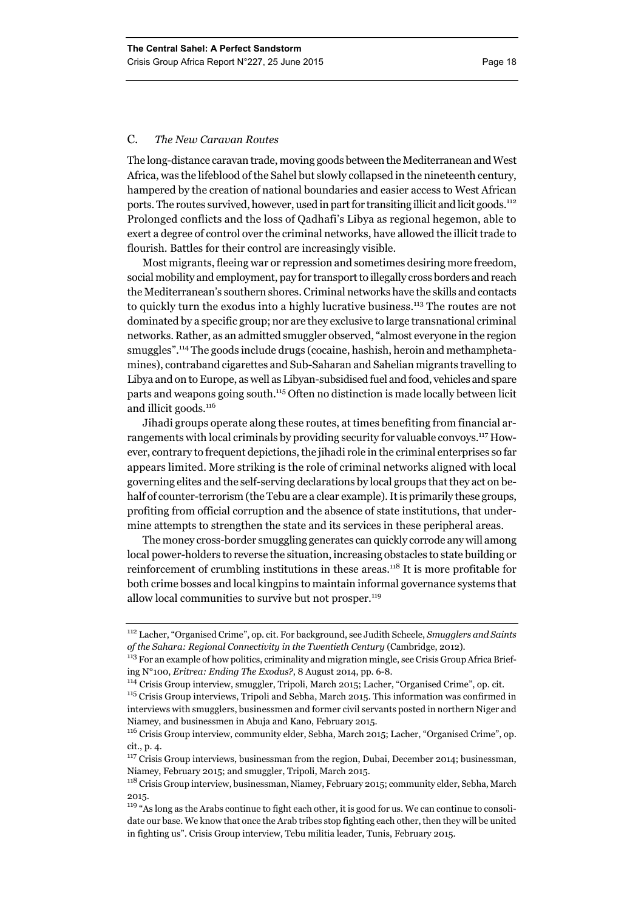# C. *The New Caravan Routes*

The long-distance caravan trade, moving goods between the Mediterranean and West Africa, was the lifeblood of the Sahel but slowly collapsed in the nineteenth century, hampered by the creation of national boundaries and easier access to West African ports. The routes survived, however, used in part for transiting illicit and licit goods.<sup>112</sup> Prolonged conflicts and the loss of Qadhafi's Libya as regional hegemon, able to exert a degree of control over the criminal networks, have allowed the illicit trade to flourish. Battles for their control are increasingly visible.

Most migrants, fleeing war or repression and sometimes desiring more freedom, social mobility and employment, pay for transport to illegally cross borders and reach the Mediterranean's southern shores. Criminal networks have the skills and contacts to quickly turn the exodus into a highly lucrative business.113 The routes are not dominated by a specific group; nor are they exclusive to large transnational criminal networks. Rather, as an admitted smuggler observed, "almost everyone in the region smuggles".114 The goods include drugs (cocaine, hashish, heroin and methamphetamines), contraband cigarettes and Sub-Saharan and Sahelian migrants travelling to Libya and on to Europe, as well as Libyan-subsidised fuel and food, vehicles and spare parts and weapons going south.115 Often no distinction is made locally between licit and illicit goods.<sup>116</sup>

Jihadi groups operate along these routes, at times benefiting from financial arrangements with local criminals by providing security for valuable convoys.117 However, contrary to frequent depictions, the jihadi role in the criminal enterprises so far appears limited. More striking is the role of criminal networks aligned with local governing elites and the self-serving declarations by local groups that they act on behalf of counter-terrorism (the Tebu are a clear example). It is primarily these groups, profiting from official corruption and the absence of state institutions, that undermine attempts to strengthen the state and its services in these peripheral areas.

The money cross-border smuggling generates can quickly corrode any will among local power-holders to reverse the situation, increasing obstacles to state building or reinforcement of crumbling institutions in these areas.<sup>118</sup> It is more profitable for both crime bosses and local kingpins to maintain informal governance systems that allow local communities to survive but not prosper.<sup>119</sup>

<sup>112</sup> Lacher, "Organised Crime", op. cit. For background, see Judith Scheele, *Smugglers and Saints of the Sahara: Regional Connectivity in the Twentieth Century* (Cambridge, 2012).

<sup>&</sup>lt;sup>113</sup> For an example of how politics, criminality and migration mingle, see Crisis Group Africa Briefing N°100, *Eritrea: Ending The Exodus?*, 8 August 2014, pp. 6-8.

<sup>114</sup> Crisis Group interview, smuggler, Tripoli, March 2015; Lacher, "Organised Crime", op. cit.

<sup>&</sup>lt;sup>115</sup> Crisis Group interviews, Tripoli and Sebha, March 2015. This information was confirmed in interviews with smugglers, businessmen and former civil servants posted in northern Niger and Niamey, and businessmen in Abuja and Kano, February 2015.

<sup>116</sup> Crisis Group interview, community elder, Sebha, March 2015; Lacher, "Organised Crime", op. cit., p. 4.

<sup>&</sup>lt;sup>117</sup> Crisis Group interviews, businessman from the region, Dubai, December 2014; businessman, Niamey, February 2015; and smuggler, Tripoli, March 2015.

<sup>&</sup>lt;sup>118</sup> Crisis Group interview, businessman, Niamey, February 2015; community elder, Sebha, March 2015.

<sup>&</sup>lt;sup>119</sup> "As long as the Arabs continue to fight each other, it is good for us. We can continue to consolidate our base. We know that once the Arab tribes stop fighting each other, then they will be united in fighting us". Crisis Group interview, Tebu militia leader, Tunis, February 2015.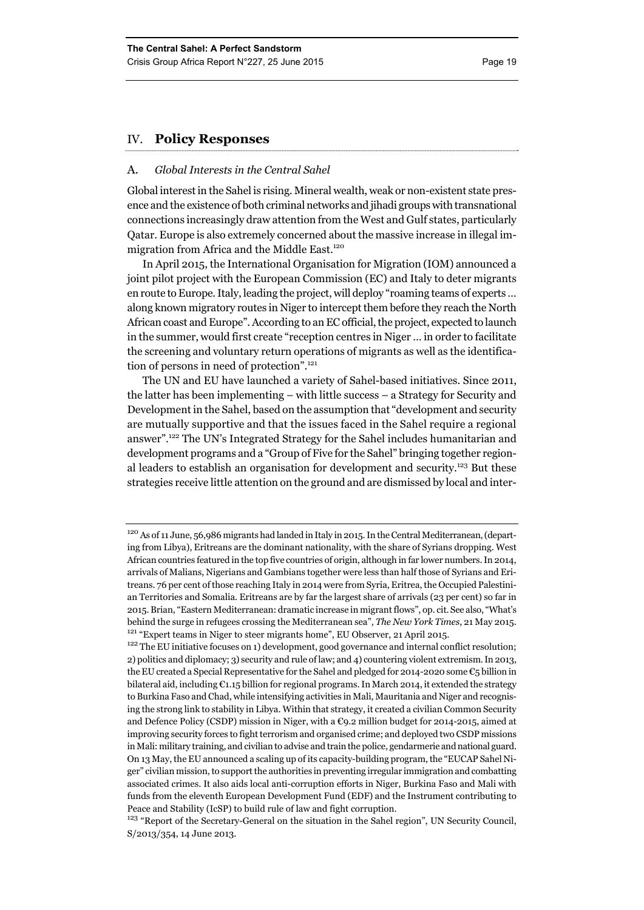# IV. **Policy Responses**

# A. *Global Interests in the Central Sahel*

Global interest in the Sahel is rising. Mineral wealth, weak or non-existent state presence and the existence of both criminal networks and jihadi groups with transnational connections increasingly draw attention from the West and Gulf states, particularly Qatar. Europe is also extremely concerned about the massive increase in illegal immigration from Africa and the Middle East.<sup>120</sup>

In April 2015, the International Organisation for Migration (IOM) announced a joint pilot project with the European Commission (EC) and Italy to deter migrants en route to Europe. Italy, leading the project, will deploy "roaming teams of experts … along known migratory routes in Niger to intercept them before they reach the North African coast and Europe". According to an EC official, the project, expected to launch in the summer, would first create "reception centres in Niger … in order to facilitate the screening and voluntary return operations of migrants as well as the identification of persons in need of protection".<sup>121</sup>

The UN and EU have launched a variety of Sahel-based initiatives. Since 2011, the latter has been implementing – with little success – a Strategy for Security and Development in the Sahel, based on the assumption that "development and security are mutually supportive and that the issues faced in the Sahel require a regional answer".122 The UN's Integrated Strategy for the Sahel includes humanitarian and development programs and a "Group of Five for the Sahel" bringing together regional leaders to establish an organisation for development and security.<sup>123</sup> But these strategies receive little attention on the ground and are dismissed by local and inter-

<sup>120</sup> As of 11 June, 56,986 migrants had landed in Italy in 2015. In the Central Mediterranean, (departing from Libya), Eritreans are the dominant nationality, with the share of Syrians dropping. West African countries featured in the top five countries of origin, although in far lower numbers. In 2014, arrivals of Malians, Nigerians and Gambians together were less than half those of Syrians and Eritreans. 76 per cent of those reaching Italy in 2014 were from Syria, Eritrea, the Occupied Palestinian Territories and Somalia. Eritreans are by far the largest share of arrivals (23 per cent) so far in 2015. Brian, "Eastern Mediterranean: dramatic increase in migrant flows", op. cit. See also, "What's behind the surge in refugees crossing the Mediterranean sea", *The New York Times*, 21 May 2015.<br><sup>121</sup> "Expert teams in Niger to steer migrants home", EU Observer, 21 April 2015.<br><sup>122</sup> The EU initiative focuses on 1) devel

<sup>2)</sup> politics and diplomacy; 3) security and rule of law; and 4) countering violent extremism. In 2013, the EU created a Special Representative for the Sahel and pledged for 2014-2020 some €5 billion in bilateral aid, including  $\mathfrak{C}_{1,15}$  billion for regional programs. In March 2014, it extended the strategy to Burkina Faso and Chad, while intensifying activities in Mali, Mauritania and Niger and recognising the strong link to stability in Libya. Within that strategy, it created a civilian Common Security and Defence Policy (CSDP) mission in Niger, with a  $\mathfrak{C}_9$ . 2 million budget for 2014-2015, aimed at improving security forces to fight terrorism and organised crime; and deployed two CSDP missions in Mali: military training, and civilian to advise and train the police, gendarmerie and national guard. On 13 May, the EU announced a scaling up of its capacity-building program, the "EUCAP Sahel Niger" civilian mission, to support the authorities in preventing irregular immigration and combatting associated crimes. It also aids local anti-corruption efforts in Niger, Burkina Faso and Mali with funds from the eleventh European Development Fund (EDF) and the Instrument contributing to Peace and Stability (IcSP) to build rule of law and fight corruption.

<sup>&</sup>lt;sup>123</sup> "Report of the Secretary-General on the situation in the Sahel region", UN Security Council, S/2013/354, 14 June 2013.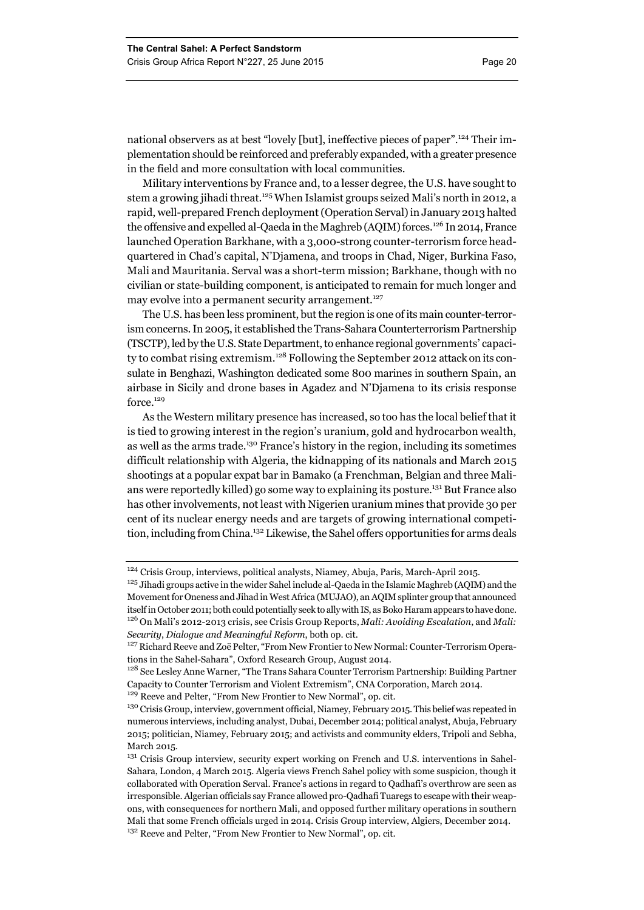national observers as at best "lovely [but], ineffective pieces of paper".<sup>124</sup> Their implementation should be reinforced and preferably expanded, with a greater presence in the field and more consultation with local communities.

Military interventions by France and, to a lesser degree, the U.S. have sought to stem a growing jihadi threat.<sup>125</sup> When Islamist groups seized Mali's north in 2012, a rapid, well-prepared French deployment (Operation Serval) in January 2013 halted the offensive and expelled al-Qaeda in the Maghreb (AQIM) forces.<sup>126</sup> In 2014, France launched Operation Barkhane, with a 3,000-strong counter-terrorism force headquartered in Chad's capital, N'Djamena, and troops in Chad, Niger, Burkina Faso, Mali and Mauritania. Serval was a short-term mission; Barkhane, though with no civilian or state-building component, is anticipated to remain for much longer and may evolve into a permanent security arrangement.<sup>127</sup>

The U.S. has been less prominent, but the region is one of its main counter-terrorism concerns. In 2005, it established the Trans-Sahara Counterterrorism Partnership (TSCTP), led by the U.S. State Department, to enhance regional governments' capacity to combat rising extremism.<sup>128</sup> Following the September 2012 attack on its consulate in Benghazi, Washington dedicated some 800 marines in southern Spain, an airbase in Sicily and drone bases in Agadez and N'Djamena to its crisis response force.<sup>129</sup>

As the Western military presence has increased, so too has the local belief that it is tied to growing interest in the region's uranium, gold and hydrocarbon wealth, as well as the arms trade.130 France's history in the region, including its sometimes difficult relationship with Algeria, the kidnapping of its nationals and March 2015 shootings at a popular expat bar in Bamako (a Frenchman, Belgian and three Malians were reportedly killed) go some way to explaining its posture.131 But France also has other involvements, not least with Nigerien uranium mines that provide 30 per cent of its nuclear energy needs and are targets of growing international competition, including from China.<sup>132</sup> Likewise, the Sahel offers opportunities for arms deals

129 Reeve and Pelter, "From New Frontier to New Normal", op. cit.

<sup>124</sup> Crisis Group, interviews, political analysts, Niamey, Abuja, Paris, March-April 2015.

<sup>&</sup>lt;sup>125</sup> Jihadi groups active in the wider Sahel include al-Qaeda in the Islamic Maghreb (AQIM) and the Movement for Oneness and Jihad in West Africa (MUJAO), an AQIM splinter group that announced itself in October 2011; both could potentially seek to ally with IS, as Boko Haram appears to have done. 126 On Mali's 2012-2013 crisis, see Crisis Group Reports, *Mali: Avoiding Escalation*, and *Mali: Security*, *Dialogue and Meaningful Reform*, both op. cit.

<sup>&</sup>lt;sup>127</sup> Richard Reeve and Zoë Pelter, "From New Frontier to New Normal: Counter-Terrorism Operations in the Sahel-Sahara", Oxford Research Group, August 2014.

<sup>&</sup>lt;sup>128</sup> See Lesley Anne Warner, "The Trans Sahara Counter Terrorism Partnership: Building Partner Capacity to Counter Terrorism and Violent Extremism", CNA Corporation, March 2014.

<sup>&</sup>lt;sup>130</sup> Crisis Group, interview, government official, Niamey, February 2015. This belief was repeated in numerous interviews, including analyst, Dubai, December 2014; political analyst, Abuja, February 2015; politician, Niamey, February 2015; and activists and community elders, Tripoli and Sebha, March 2015.

<sup>&</sup>lt;sup>131</sup> Crisis Group interview, security expert working on French and U.S. interventions in Sahel-Sahara, London, 4 March 2015. Algeria views French Sahel policy with some suspicion, though it collaborated with Operation Serval. France's actions in regard to Qadhafi's overthrow are seen as irresponsible. Algerian officials say France allowed pro-Qadhafi Tuaregs to escape with their weapons, with consequences for northern Mali, and opposed further military operations in southern Mali that some French officials urged in 2014. Crisis Group interview, Algiers, December 2014. <sup>132</sup> Reeve and Pelter, "From New Frontier to New Normal", op. cit.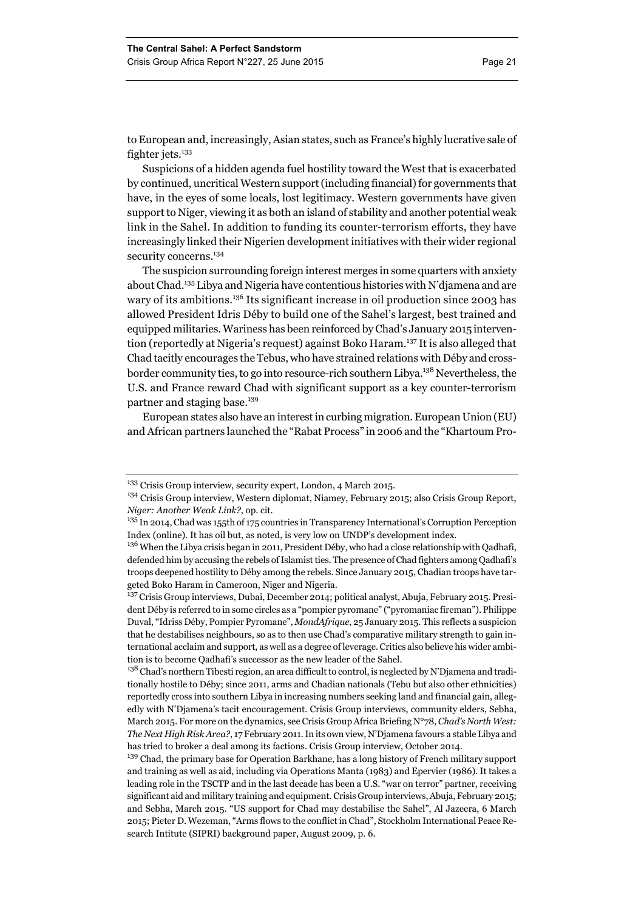to European and, increasingly, Asian states, such as France's highly lucrative sale of fighter jets.<sup>133</sup>

Suspicions of a hidden agenda fuel hostility toward the West that is exacerbated by continued, uncritical Western support (including financial) for governments that have, in the eyes of some locals, lost legitimacy. Western governments have given support to Niger, viewing it as both an island of stability and another potential weak link in the Sahel. In addition to funding its counter-terrorism efforts, they have increasingly linked their Nigerien development initiatives with their wider regional security concerns.<sup>134</sup>

The suspicion surrounding foreign interest merges in some quarters with anxiety about Chad.135 Libya and Nigeria have contentious histories with N'djamena and are wary of its ambitions.<sup>136</sup> Its significant increase in oil production since 2003 has allowed President Idris Déby to build one of the Sahel's largest, best trained and equipped militaries. Wariness has been reinforced by Chad's January 2015 intervention (reportedly at Nigeria's request) against Boko Haram.137 It is also alleged that Chad tacitly encourages the Tebus, who have strained relations with Déby and crossborder community ties, to go into resource-rich southern Libya.138 Nevertheless, the U.S. and France reward Chad with significant support as a key counter-terrorism partner and staging base.<sup>139</sup>

European states also have an interest in curbing migration. European Union (EU) and African partners launched the "Rabat Process" in 2006 and the "Khartoum Pro-

<sup>&</sup>lt;sup>133</sup> Crisis Group interview, security expert, London, 4 March 2015.

<sup>&</sup>lt;sup>134</sup> Crisis Group interview, Western diplomat, Niamey, February 2015; also Crisis Group Report, *Niger: Another Weak Link?*, op. cit.

<sup>&</sup>lt;sup>135</sup> In 2014, Chad was 155th of 175 countries in Transparency International's Corruption Perception Index (online). It has oil but, as noted, is very low on UNDP's development index.

<sup>&</sup>lt;sup>136</sup> When the Libya crisis began in 2011, President Déby, who had a close relationship with Qadhafi, defended him by accusing the rebels of Islamist ties. The presence of Chad fighters among Qadhafi's troops deepened hostility to Déby among the rebels. Since January 2015, Chadian troops have targeted Boko Haram in Cameroon, Niger and Nigeria.

<sup>137</sup> Crisis Group interviews, Dubai, December 2014; political analyst, Abuja, February 2015. President Déby is referred to in some circles as a "pompier pyromane" ("pyromaniac fireman"). Philippe Duval, "Idriss Déby, Pompier Pyromane", *MondAfrique*, 25 January 2015. This reflects a suspicion that he destabilises neighbours, so as to then use Chad's comparative military strength to gain international acclaim and support, as well as a degree of leverage. Critics also believe his wider ambition is to become Qadhafi's successor as the new leader of the Sahel.

<sup>&</sup>lt;sup>138</sup> Chad's northern Tibesti region, an area difficult to control, is neglected by N'Djamena and traditionally hostile to Déby; since 2011, arms and Chadian nationals (Tebu but also other ethnicities) reportedly cross into southern Libya in increasing numbers seeking land and financial gain, allegedly with N'Djamena's tacit encouragement. Crisis Group interviews, community elders, Sebha, March 2015. For more on the dynamics, see Crisis Group Africa Briefing N°78, *Chad's North West: The Next High Risk Area?*, 17 February 2011. In its own view, N'Djamena favours a stable Libya and has tried to broker a deal among its factions. Crisis Group interview, October 2014.

<sup>&</sup>lt;sup>139</sup> Chad, the primary base for Operation Barkhane, has a long history of French military support and training as well as aid, including via Operations Manta (1983) and Epervier (1986). It takes a leading role in the TSCTP and in the last decade has been a U.S. "war on terror" partner, receiving significant aid and military training and equipment. Crisis Group interviews, Abuja, February 2015; and Sebha, March 2015. "US support for Chad may destabilise the Sahel", Al Jazeera, 6 March 2015; Pieter D. Wezeman, "Arms flows to the conflict in Chad", Stockholm International Peace Research Intitute (SIPRI) background paper, August 2009, p. 6.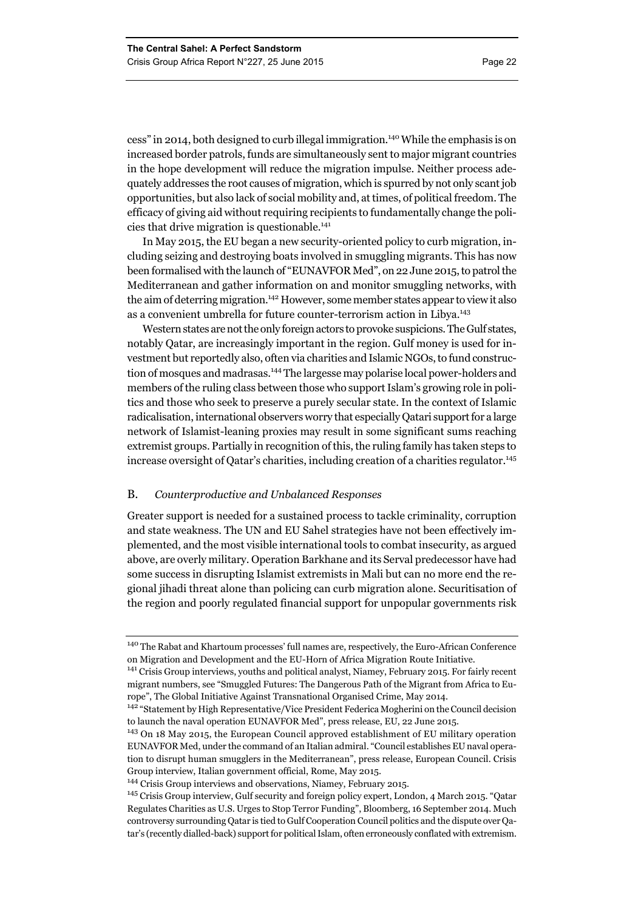cess" in 2014, both designed to curb illegal immigration.140 While the emphasis is on increased border patrols, funds are simultaneously sent to major migrant countries in the hope development will reduce the migration impulse. Neither process adequately addresses the root causes of migration, which is spurred by not only scant job opportunities, but also lack of social mobility and, at times, of political freedom. The efficacy of giving aid without requiring recipients to fundamentally change the policies that drive migration is questionable.<sup>141</sup>

In May 2015, the EU began a new security-oriented policy to curb migration, including seizing and destroying boats involved in smuggling migrants. This has now been formalised with the launch of "EUNAVFOR Med", on 22 June 2015, to patrol the Mediterranean and gather information on and monitor smuggling networks, with the aim of deterring migration.<sup>142</sup> However, some member states appear to view it also as a convenient umbrella for future counter-terrorism action in Libya.143

Western states are not the only foreign actors to provoke suspicions. The Gulf states, notably Qatar, are increasingly important in the region. Gulf money is used for investment but reportedly also, often via charities and Islamic NGOs, to fund construction of mosques and madrasas.144 The largesse may polarise local power-holders and members of the ruling class between those who support Islam's growing role in politics and those who seek to preserve a purely secular state. In the context of Islamic radicalisation, international observers worry that especially Qatari support for a large network of Islamist-leaning proxies may result in some significant sums reaching extremist groups. Partially in recognition of this, the ruling family has taken steps to increase oversight of Qatar's charities, including creation of a charities regulator.145

# B. *Counterproductive and Unbalanced Responses*

Greater support is needed for a sustained process to tackle criminality, corruption and state weakness. The UN and EU Sahel strategies have not been effectively implemented, and the most visible international tools to combat insecurity, as argued above, are overly military. Operation Barkhane and its Serval predecessor have had some success in disrupting Islamist extremists in Mali but can no more end the regional jihadi threat alone than policing can curb migration alone. Securitisation of the region and poorly regulated financial support for unpopular governments risk

<sup>&</sup>lt;sup>140</sup> The Rabat and Khartoum processes' full names are, respectively, the Euro-African Conference on Migration and Development and the EU-Horn of Africa Migration Route Initiative.

<sup>&</sup>lt;sup>141</sup> Crisis Group interviews, youths and political analyst, Niamey, February 2015. For fairly recent migrant numbers, see "Smuggled Futures: The Dangerous Path of the Migrant from Africa to Europe", The Global Initiative Against Transnational Organised Crime, May 2014.

<sup>&</sup>lt;sup>142</sup> "Statement by High Representative/Vice President Federica Mogherini on the Council decision to launch the naval operation EUNAVFOR Med", press release, EU, 22 June 2015.

<sup>143</sup> On 18 May 2015, the European Council approved establishment of EU military operation EUNAVFOR Med, under the command of an Italian admiral. "Council establishes EU naval operation to disrupt human smugglers in the Mediterranean", press release, European Council. Crisis Group interview, Italian government official, Rome, May 2015.

<sup>&</sup>lt;sup>144</sup> Crisis Group interviews and observations, Niamey, February 2015.

<sup>&</sup>lt;sup>145</sup> Crisis Group interview, Gulf security and foreign policy expert, London, 4 March 2015. "Qatar Regulates Charities as U.S. Urges to Stop Terror Funding", Bloomberg, 16 September 2014. Much controversy surrounding Qatar is tied to Gulf Cooperation Council politics and the dispute over Qatar's (recently dialled-back) support for political Islam, often erroneously conflated with extremism.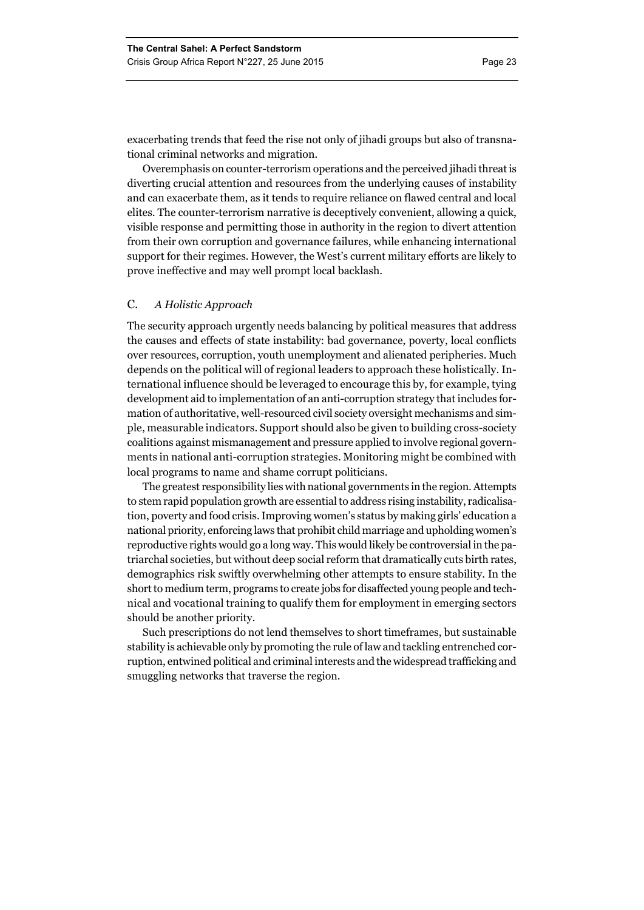exacerbating trends that feed the rise not only of jihadi groups but also of transnational criminal networks and migration.

Overemphasis on counter-terrorism operations and the perceived jihadi threat is diverting crucial attention and resources from the underlying causes of instability and can exacerbate them, as it tends to require reliance on flawed central and local elites. The counter-terrorism narrative is deceptively convenient, allowing a quick, visible response and permitting those in authority in the region to divert attention from their own corruption and governance failures, while enhancing international support for their regimes. However, the West's current military efforts are likely to prove ineffective and may well prompt local backlash.

# C. *A Holistic Approach*

The security approach urgently needs balancing by political measures that address the causes and effects of state instability: bad governance, poverty, local conflicts over resources, corruption, youth unemployment and alienated peripheries. Much depends on the political will of regional leaders to approach these holistically. International influence should be leveraged to encourage this by, for example, tying development aid to implementation of an anti-corruption strategy that includes formation of authoritative, well-resourced civil society oversight mechanisms and simple, measurable indicators. Support should also be given to building cross-society coalitions against mismanagement and pressure applied to involve regional governments in national anti-corruption strategies. Monitoring might be combined with local programs to name and shame corrupt politicians.

The greatest responsibility lies with national governments in the region. Attempts to stem rapid population growth are essential to address rising instability, radicalisation, poverty and food crisis. Improving women's status by making girls' education a national priority, enforcing laws that prohibit child marriage and upholding women's reproductive rights would go a long way. This would likely be controversial in the patriarchal societies, but without deep social reform that dramatically cuts birth rates, demographics risk swiftly overwhelming other attempts to ensure stability. In the short to medium term, programs to create jobs for disaffected young people and technical and vocational training to qualify them for employment in emerging sectors should be another priority.

Such prescriptions do not lend themselves to short timeframes, but sustainable stability is achievable only by promoting the rule of law and tackling entrenched corruption, entwined political and criminal interests and the widespread trafficking and smuggling networks that traverse the region.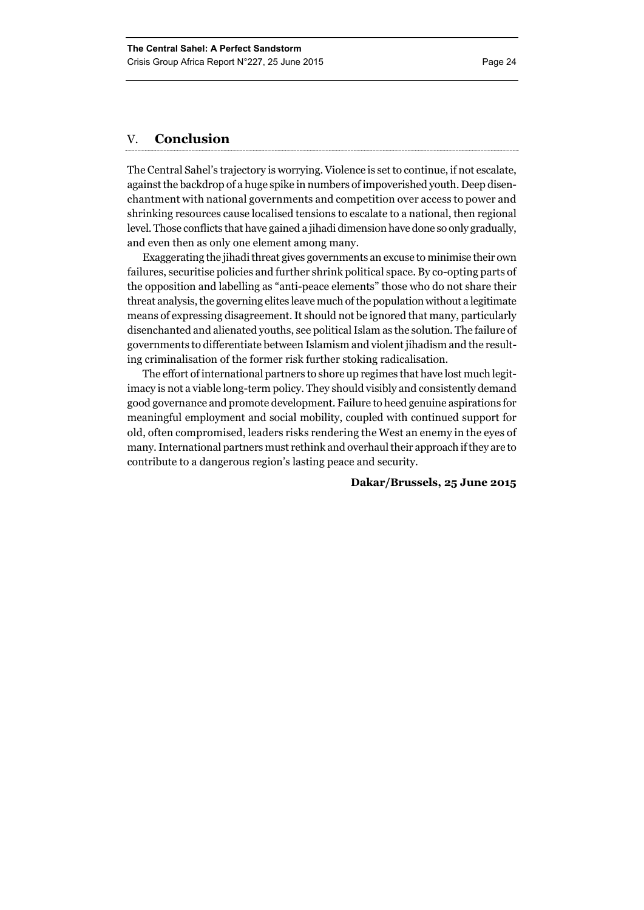# V. **Conclusion**

The Central Sahel's trajectory is worrying. Violence is set to continue, if not escalate, against the backdrop of a huge spike in numbers of impoverished youth. Deep disenchantment with national governments and competition over access to power and shrinking resources cause localised tensions to escalate to a national, then regional level. Those conflicts that have gained a jihadi dimension have done so only gradually, and even then as only one element among many.

Exaggerating the jihadi threat gives governments an excuse to minimise their own failures, securitise policies and further shrink political space. By co-opting parts of the opposition and labelling as "anti-peace elements" those who do not share their threat analysis, the governing elites leave much of the population without a legitimate means of expressing disagreement. It should not be ignored that many, particularly disenchanted and alienated youths, see political Islam as the solution. The failure of governments to differentiate between Islamism and violent jihadism and the resulting criminalisation of the former risk further stoking radicalisation.

The effort of international partners to shore up regimes that have lost much legitimacy is not a viable long-term policy. They should visibly and consistently demand good governance and promote development. Failure to heed genuine aspirations for meaningful employment and social mobility, coupled with continued support for old, often compromised, leaders risks rendering the West an enemy in the eyes of many. International partners must rethink and overhaul their approach if they are to contribute to a dangerous region's lasting peace and security.

# **Dakar/Brussels, 25 June 2015**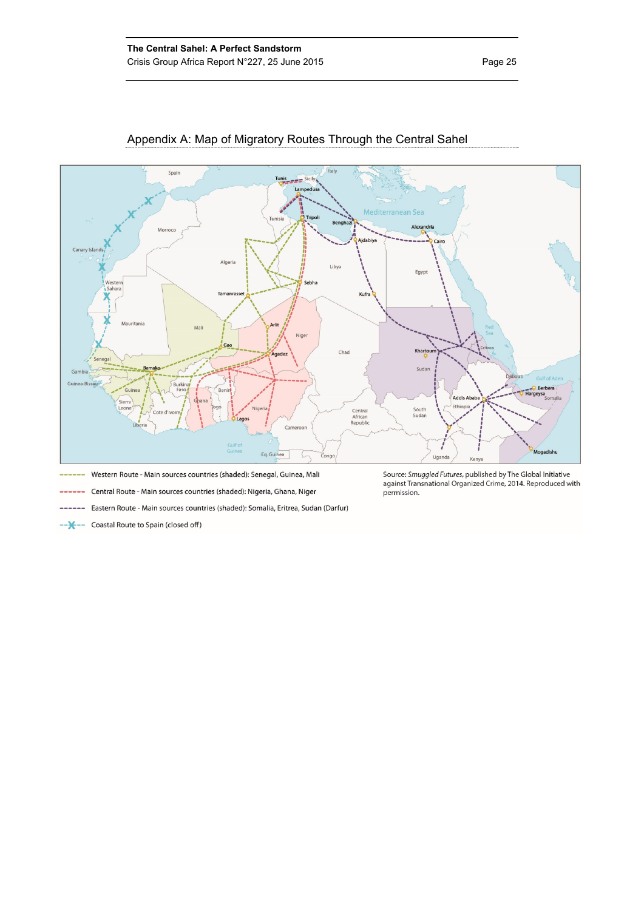

# Appendix A: Map of Migratory Routes Through the Central Sahel

Western Route - Main sources countries (shaded): Senegal, Guinea, Mali -------

Source: Smuggled Futures, published by The Global Initiative<br>against Transnational Organized Crime, 2014. Reproduced with<br>permission.

- Central Route Main sources countries (shaded): Nigeria, Ghana, Niger - Eastern Route - Main sources countries (shaded): Somalia, Eritrea, Sudan (Darfur)
- Coastal Route to Spain (closed off)  $-\times$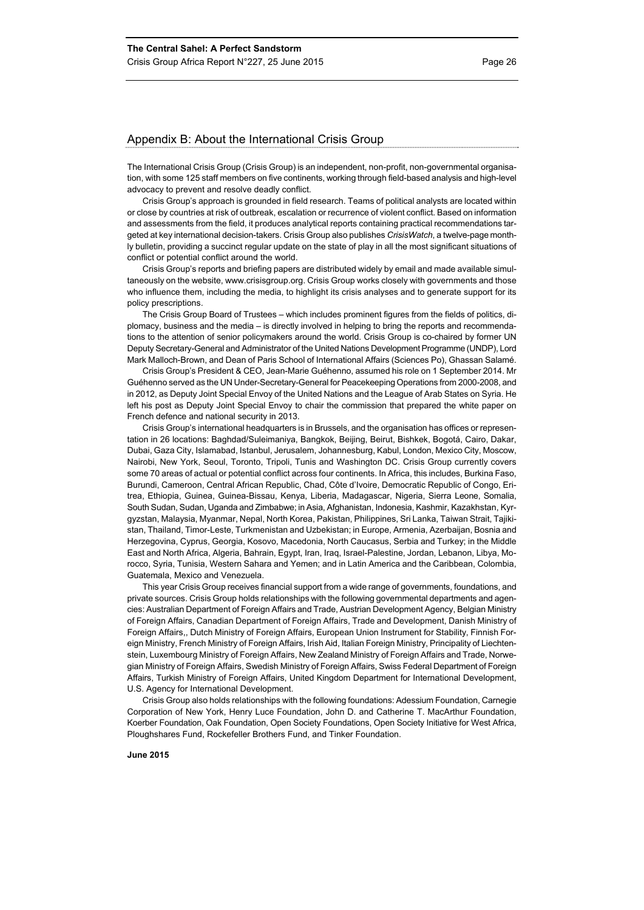# Appendix B: About the International Crisis Group

The International Crisis Group (Crisis Group) is an independent, non-profit, non-governmental organisation, with some 125 staff members on five continents, working through field-based analysis and high-level advocacy to prevent and resolve deadly conflict.

Crisis Group's approach is grounded in field research. Teams of political analysts are located within or close by countries at risk of outbreak, escalation or recurrence of violent conflict. Based on information and assessments from the field, it produces analytical reports containing practical recommendations targeted at key international decision-takers. Crisis Group also publishes *CrisisWatch*, a twelve-page monthly bulletin, providing a succinct regular update on the state of play in all the most significant situations of conflict or potential conflict around the world.

Crisis Group's reports and briefing papers are distributed widely by email and made available simultaneously on the website, www.crisisgroup.org. Crisis Group works closely with governments and those who influence them, including the media, to highlight its crisis analyses and to generate support for its policy prescriptions.

The Crisis Group Board of Trustees – which includes prominent figures from the fields of politics, diplomacy, business and the media – is directly involved in helping to bring the reports and recommendations to the attention of senior policymakers around the world. Crisis Group is co-chaired by former UN Deputy Secretary-General and Administrator of the United Nations Development Programme (UNDP), Lord Mark Malloch-Brown, and Dean of Paris School of International Affairs (Sciences Po), Ghassan Salamé.

Crisis Group's President & CEO, Jean-Marie Guéhenno, assumed his role on 1 September 2014. Mr Guéhenno served as the UN Under-Secretary-General for Peacekeeping Operations from 2000-2008, and in 2012, as Deputy Joint Special Envoy of the United Nations and the League of Arab States on Syria. He left his post as Deputy Joint Special Envoy to chair the commission that prepared the white paper on French defence and national security in 2013.

Crisis Group's international headquarters is in Brussels, and the organisation has offices or representation in 26 locations: Baghdad/Suleimaniya, Bangkok, Beijing, Beirut, Bishkek, Bogotá, Cairo, Dakar, Dubai, Gaza City, Islamabad, Istanbul, Jerusalem, Johannesburg, Kabul, London, Mexico City, Moscow, Nairobi, New York, Seoul, Toronto, Tripoli, Tunis and Washington DC. Crisis Group currently covers some 70 areas of actual or potential conflict across four continents. In Africa, this includes, Burkina Faso, Burundi, Cameroon, Central African Republic, Chad, Côte d'Ivoire, Democratic Republic of Congo, Eritrea, Ethiopia, Guinea, Guinea-Bissau, Kenya, Liberia, Madagascar, Nigeria, Sierra Leone, Somalia, South Sudan, Sudan, Uganda and Zimbabwe; in Asia, Afghanistan, Indonesia, Kashmir, Kazakhstan, Kyrgyzstan, Malaysia, Myanmar, Nepal, North Korea, Pakistan, Philippines, Sri Lanka, Taiwan Strait, Tajikistan, Thailand, Timor-Leste, Turkmenistan and Uzbekistan; in Europe, Armenia, Azerbaijan, Bosnia and Herzegovina, Cyprus, Georgia, Kosovo, Macedonia, North Caucasus, Serbia and Turkey; in the Middle East and North Africa, Algeria, Bahrain, Egypt, Iran, Iraq, Israel-Palestine, Jordan, Lebanon, Libya, Morocco, Syria, Tunisia, Western Sahara and Yemen; and in Latin America and the Caribbean, Colombia, Guatemala, Mexico and Venezuela.

This year Crisis Group receives financial support from a wide range of governments, foundations, and private sources. Crisis Group holds relationships with the following governmental departments and agencies: Australian Department of Foreign Affairs and Trade, Austrian Development Agency, Belgian Ministry of Foreign Affairs, Canadian Department of Foreign Affairs, Trade and Development, Danish Ministry of Foreign Affairs,, Dutch Ministry of Foreign Affairs, European Union Instrument for Stability, Finnish Foreign Ministry, French Ministry of Foreign Affairs, Irish Aid, Italian Foreign Ministry, Principality of Liechtenstein, Luxembourg Ministry of Foreign Affairs, New Zealand Ministry of Foreign Affairs and Trade, Norwegian Ministry of Foreign Affairs, Swedish Ministry of Foreign Affairs, Swiss Federal Department of Foreign Affairs, Turkish Ministry of Foreign Affairs, United Kingdom Department for International Development, U.S. Agency for International Development.

Crisis Group also holds relationships with the following foundations: Adessium Foundation, Carnegie Corporation of New York, Henry Luce Foundation, John D. and Catherine T. MacArthur Foundation, Koerber Foundation, Oak Foundation, Open Society Foundations, Open Society Initiative for West Africa, Ploughshares Fund, Rockefeller Brothers Fund, and Tinker Foundation.

#### **June 2015**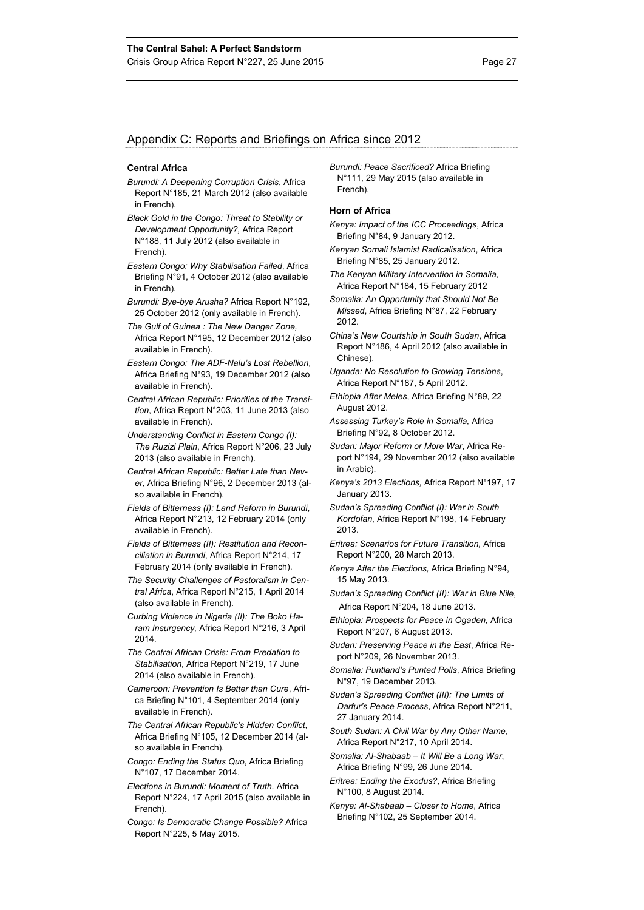# Appendix C: Reports and Briefings on Africa since 2012

#### **Central Africa**

- *Burundi: A Deepening Corruption Crisis*, Africa Report N°185, 21 March 2012 (also available in French).
- *Black Gold in the Congo: Threat to Stability or Development Opportunity?,* Africa Report N°188, 11 July 2012 (also available in French).
- *Eastern Congo: Why Stabilisation Failed*, Africa Briefing N°91, 4 October 2012 (also available in French).
- *Burundi: Bye-bye Arusha?* Africa Report N°192, 25 October 2012 (only available in French).
- *The Gulf of Guinea : The New Danger Zone,*  Africa Report N°195, 12 December 2012 (also available in French).
- *Eastern Congo: The ADF-Nalu's Lost Rebellion*, Africa Briefing N°93, 19 December 2012 (also available in French).
- *Central African Republic: Priorities of the Transition*, Africa Report N°203, 11 June 2013 (also available in French).
- *Understanding Conflict in Eastern Congo (I): The Ruzizi Plain*, Africa Report N°206, 23 July 2013 (also available in French).
- *Central African Republic: Better Late than Never*, Africa Briefing N°96, 2 December 2013 (also available in French).
- *Fields of Bitterness (I): Land Reform in Burundi*, Africa Report N°213, 12 February 2014 (only available in French).
- *Fields of Bitterness (II): Restitution and Reconciliation in Burundi*, Africa Report N°214, 17 February 2014 (only available in French).
- *The Security Challenges of Pastoralism in Central Africa*, Africa Report N°215, 1 April 2014 (also available in French).
- *Curbing Violence in Nigeria (II): The Boko Haram Insurgency,* Africa Report N°216, 3 April 2014.
- *The Central African Crisis: From Predation to Stabilisation*, Africa Report N°219, 17 June 2014 (also available in French).
- *Cameroon: Prevention Is Better than Cure*, Africa Briefing N°101, 4 September 2014 (only available in French).
- *The Central African Republic's Hidden Conflict*, Africa Briefing N°105, 12 December 2014 (also available in French).
- *Congo: Ending the Status Quo*, Africa Briefing N°107, 17 December 2014.
- *Elections in Burundi: Moment of Truth,* Africa Report N°224, 17 April 2015 (also available in French).
- *Congo: Is Democratic Change Possible?* Africa Report N°225, 5 May 2015.

*Burundi: Peace Sacrificed?* Africa Briefing N°111, 29 May 2015 (also available in French).

#### **Horn of Africa**

- *Kenya: Impact of the ICC Proceedings*, Africa Briefing N°84, 9 January 2012.
- *Kenyan Somali Islamist Radicalisation*, Africa Briefing N°85, 25 January 2012.
- *The Kenyan Military Intervention in Somalia*, Africa Report N°184, 15 February 2012
- *Somalia: An Opportunity that Should Not Be Missed*, Africa Briefing N°87, 22 February 2012.
- *China's New Courtship in South Sudan*, Africa Report N°186, 4 April 2012 (also available in Chinese).
- *Uganda: No Resolution to Growing Tensions*, Africa Report N°187, 5 April 2012.
- *Ethiopia After Meles*, Africa Briefing N°89, 22 August 2012.
- *Assessing Turkey's Role in Somalia,* Africa Briefing N°92, 8 October 2012.
- *Sudan: Major Reform or More War*, Africa Report N°194, 29 November 2012 (also available in Arabic).
- *Kenya's 2013 Elections,* Africa Report N°197, 17 January 2013.
- *Sudan's Spreading Conflict (I): War in South Kordofan*, Africa Report N°198, 14 February 2013.
- *Eritrea: Scenarios for Future Transition,* Africa Report N°200, 28 March 2013.
- *Kenya After the Elections,* Africa Briefing N°94, 15 May 2013.
- *Sudan's Spreading Conflict (II): War in Blue Nile*, Africa Report N°204, 18 June 2013.
- *Ethiopia: Prospects for Peace in Ogaden,* Africa Report N°207, 6 August 2013.
- *Sudan: Preserving Peace in the East*, Africa Report N°209, 26 November 2013.
- *Somalia: Puntland's Punted Polls*, Africa Briefing N°97, 19 December 2013.
- *Sudan's Spreading Conflict (III): The Limits of Darfur's Peace Process*, Africa Report N°211, 27 January 2014.
- *South Sudan: A Civil War by Any Other Name,*  Africa Report N°217, 10 April 2014.
- *Somalia: Al-Shabaab It Will Be a Long War*, Africa Briefing N°99, 26 June 2014.
- *Eritrea: Ending the Exodus?*, Africa Briefing N°100, 8 August 2014.
- *Kenya: Al-Shabaab Closer to Home*, Africa Briefing N°102, 25 September 2014.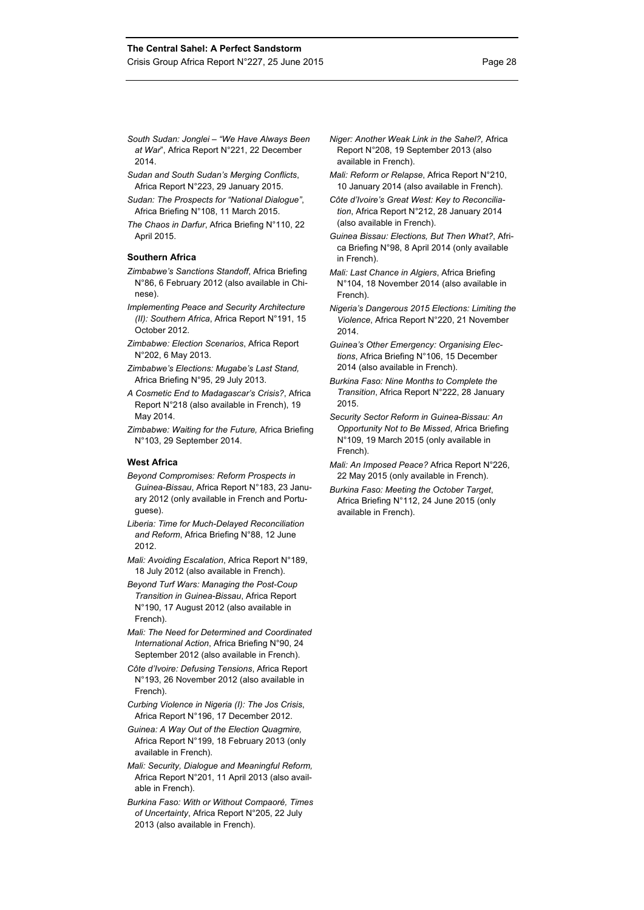- *Sudan and South Sudan's Merging Conflicts*, Africa Report N°223, 29 January 2015.
- *Sudan: The Prospects for "National Dialogue"*, Africa Briefing N°108, 11 March 2015.
- *The Chaos in Darfur*, Africa Briefing N°110, 22 April 2015.

## **Southern Africa**

- *Zimbabwe's Sanctions Standoff*, Africa Briefing N°86, 6 February 2012 (also available in Chinese).
- *Implementing Peace and Security Architecture (II): Southern Africa*, Africa Report N°191, 15 October 2012.
- *Zimbabwe: Election Scenarios*, Africa Report N°202, 6 May 2013.
- *Zimbabwe's Elections: Mugabe's Last Stand,*  Africa Briefing N°95, 29 July 2013.
- *A Cosmetic End to Madagascar's Crisis?*, Africa Report N°218 (also available in French), 19 May 2014.
- *Zimbabwe: Waiting for the Future,* Africa Briefing N°103, 29 September 2014.

#### **West Africa**

- *Beyond Compromises: Reform Prospects in Guinea-Bissau*, Africa Report N°183, 23 January 2012 (only available in French and Portuguese).
- *Liberia: Time for Much-Delayed Reconciliation and Reform*, Africa Briefing N°88, 12 June 2012.
- *Mali: Avoiding Escalation*, Africa Report N°189, 18 July 2012 (also available in French).
- *Beyond Turf Wars: Managing the Post-Coup Transition in Guinea-Bissau*, Africa Report N°190, 17 August 2012 (also available in French).
- *Mali: The Need for Determined and Coordinated International Action*, Africa Briefing N°90, 24 September 2012 (also available in French).
- *Côte d'Ivoire: Defusing Tensions*, Africa Report N°193, 26 November 2012 (also available in French).
- *Curbing Violence in Nigeria (I): The Jos Crisis*, Africa Report N°196, 17 December 2012.
- *Guinea: A Way Out of the Election Quagmire,* Africa Report N°199, 18 February 2013 (only available in French).
- *Mali: Security, Dialogue and Meaningful Reform,*  Africa Report N°201, 11 April 2013 (also available in French).
- *Burkina Faso: With or Without Compaoré, Times of Uncertainty*, Africa Report N°205, 22 July 2013 (also available in French).
- *Niger: Another Weak Link in the Sahel?,* Africa Report N°208, 19 September 2013 (also available in French).
- *Mali: Reform or Relapse*, Africa Report N°210, 10 January 2014 (also available in French).
- *Côte d'Ivoire's Great West: Key to Reconciliation*, Africa Report N°212, 28 January 2014 (also available in French).
- *Guinea Bissau: Elections, But Then What?*, Africa Briefing N°98, 8 April 2014 (only available in French).
- *Mali: Last Chance in Algiers*, Africa Briefing N°104, 18 November 2014 (also available in French).
- *Nigeria's Dangerous 2015 Elections: Limiting the Violence*, Africa Report N°220, 21 November 2014.
- *Guinea's Other Emergency: Organising Elections*, Africa Briefing N°106, 15 December 2014 (also available in French).
- *Burkina Faso: Nine Months to Complete the Transition*, Africa Report N°222, 28 January 2015.
- *Security Sector Reform in Guinea-Bissau: An Opportunity Not to Be Missed*, Africa Briefing N°109, 19 March 2015 (only available in French).
- *Mali: An Imposed Peace?* Africa Report N°226, 22 May 2015 (only available in French).
- *Burkina Faso: Meeting the October Target*, Africa Briefing N°112, 24 June 2015 (only available in French).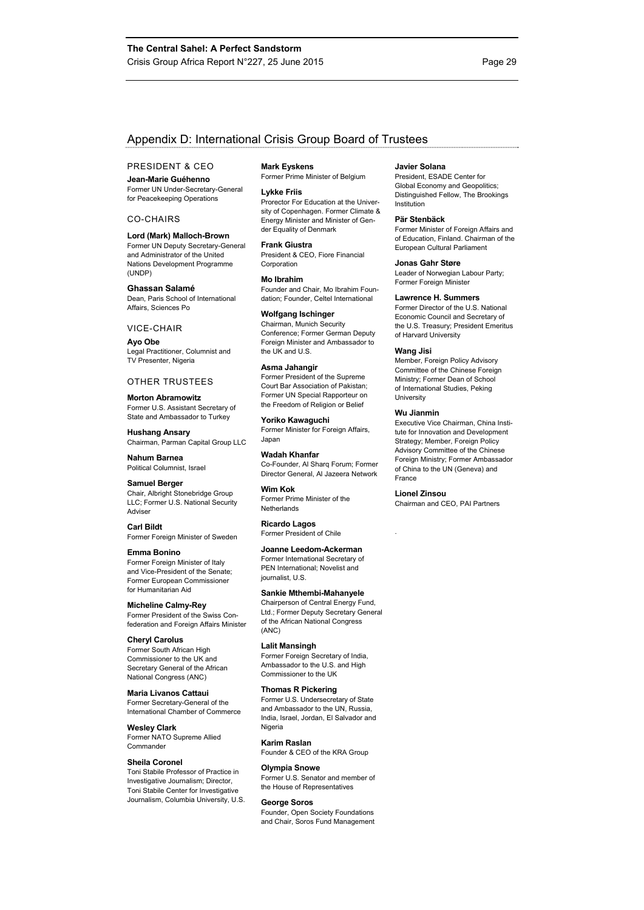# Appendix D: International Crisis Group Board of Trustees

#### PRESIDENT & CEO

**Jean-Marie Guéhenno**  Former UN Under-Secretary-General for Peacekeeping Operations

#### CO-CHAIRS

**Lord (Mark) Malloch-Brown**  Former UN Deputy Secretary-General and Administrator of the United

Nations Development Programme (UNDP) **Ghassan Salamé**  Dean, Paris School of International

# Affairs, Sciences Po VICE-CHAIR

**Ayo Obe**  Legal Practitioner, Columnist and TV Presenter, Nigeria

### OTHER TRUSTEES

**Morton Abramowitz**  Former U.S. Assistant Secretary of State and Ambassador to Turkey

**Hushang Ansary**  Chairman, Parman Capital Group LLC

**Nahum Barnea**  Political Columnist, Israel

**Samuel Berger**  Chair, Albright Stonebridge Group LLC; Former U.S. National Security **Adviser** 

**Carl Bildt**  Former Foreign Minister of Sweden

**Emma Bonino**  Former Foreign Minister of Italy and Vice-President of the Senate; Former European Commissioner for Humanitarian Aid

**Micheline Calmy-Rey**  Former President of the Swiss Confederation and Foreign Affairs Minister

#### **Cheryl Carolus**  Former South African High Commissioner to the UK and Secretary General of the African National Congress (ANC)

**Maria Livanos Cattaui**  Former Secretary-General of the International Chamber of Commerce

**Wesley Clark**  Former NATO Supreme Allied Commander

#### **Sheila Coronel**

Toni Stabile Professor of Practice in Investigative Journalism; Director, Toni Stabile Center for Investigative Journalism, Columbia University, U.S.

# **Mark Eyskens**

Former Prime Minister of Belgium

**Lykke Friis**  Prorector For Education at the University of Copenhagen. Former Climate & Energy Minister and Minister of Gender Equality of Denmark

**Frank Giustra**  President & CEO, Fiore Financial Corporation

**Mo Ibrahim**  Founder and Chair, Mo Ibrahim Foundation; Founder, Celtel International

**Wolfgang Ischinger**  Chairman, Munich Security Conference; Former German Deputy Foreign Minister and Ambassador to the UK and U.S.

**Asma Jahangir**  Former President of the Supreme Court Bar Association of Pakistan; Former UN Special Rapporteur on the Freedom of Religion or Belief

**Yoriko Kawaguchi**  Former Minister for Foreign Affairs, Japan

**Wadah Khanfar**  Co-Founder, Al Sharq Forum; Former Director General, Al Jazeera Network

**Wim Kok**  Former Prime Minister of the **Netherlands** 

**Ricardo Lagos**  Former President of Chile

#### **Joanne Leedom-Ackerman**  Former International Secretary of

PEN International; Novelist and journalist, U.S.

**Sankie Mthembi-Mahanyele** 

Chairperson of Central Energy Fund, Ltd.; Former Deputy Secretary General of the African National Congress (ANC)

**Lalit Mansingh**  Former Foreign Secretary of India, Ambassador to the U.S. and High Commissioner to the UK

#### **Thomas R Pickering**

Former U.S. Undersecretary of State and Ambassador to the UN, Russia, India, Israel, Jordan, El Salvador and Nigeria

**Karim Raslan**  Founder & CEO of the KRA Group

**Olympia Snowe**  Former U.S. Senator and member of the House of Representatives

#### **George Soros**  Founder, Open Society Foundations and Chair, Soros Fund Management

#### **Javier Solana**

President, ESADE Center for Global Economy and Geopolitics; Distinguished Fellow, The Brookings Institution

**Pär Stenbäck** 

Former Minister of Foreign Affairs and of Education, Finland. Chairman of the European Cultural Parliament

**Jonas Gahr Støre**  Leader of Norwegian Labour Party; Former Foreign Minister

**Lawrence H. Summers**  Former Director of the U.S. National Economic Council and Secretary of the U.S. Treasury; President Emeritus of Harvard University

**Wang Jisi** 

Member, Foreign Policy Advisory Committee of the Chinese Foreign Ministry; Former Dean of School of International Studies, Peking **University** 

#### **Wu Jianmin**

Executive Vice Chairman, China Institute for Innovation and Development Strategy; Member, Foreign Policy Advisory Committee of the Chinese Foreign Ministry; Former Ambassador of China to the UN (Geneva) and France

**Lionel Zinsou** 

.

Chairman and CEO, PAI Partners